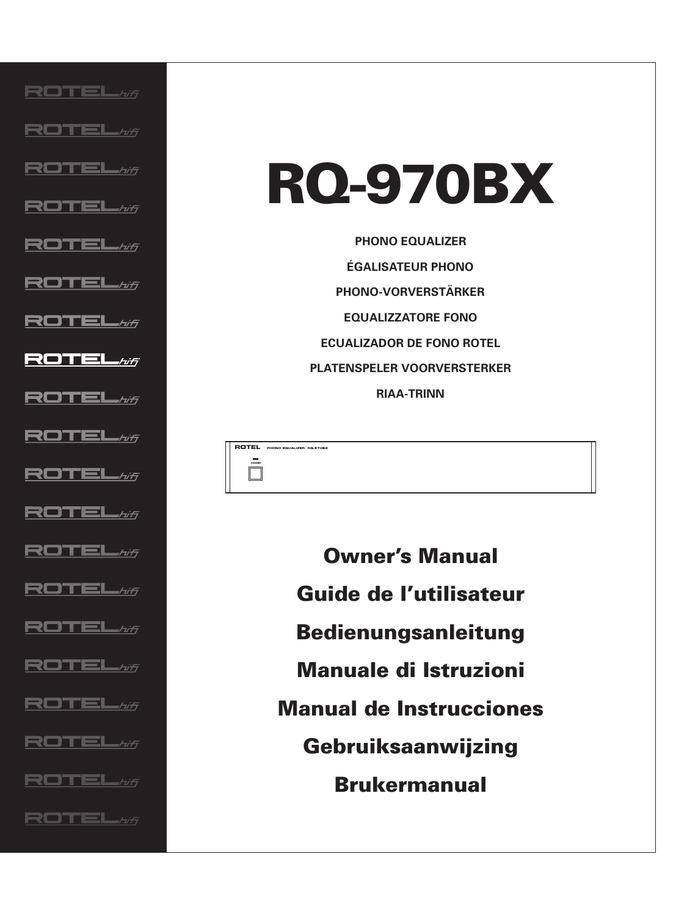${\bf ROTEL}$ hifi ROTEL#F  $\mathsf{ROTEL}_{\mathit{H} \mathit{H}}$  $\mathsf{ROTEL}_{\mathit{Aff}}$ ROTEL#f  ${\bf ROTEL}$ / $\pi$ ROTEL*wi*  $\blacksquare$ ROTEL $\omega_{\tilde{\tau}}$ ROTEL*hi*f  ${\bf ROTEL}$ / $\pi$ ROTEL*hi*f **ROTEL**  ${\bf ROTEL}$ / $\pi$ ROTEL*hf* **ROTEL** ROTEL*hi*f  ${\bf ROTEL}$ / $\pi$  ${\bf ROTEL}$ hfi  ${\bf ROTEL}$ hifi ROTEL*hi*f

# **RQ-970BX**

**PHONO EQUALIZER ÉGALISATEUR PHONO PHONO-VORVERSTÄRKER EQUALIZZATORE FONO ECUALIZADOR DE FONO ROTEL PLATENSPELER VOORVERSTERKER RIAA-TRINN**

ROTEL PHONO EQUALIZER RO-970BX

 $\Box$ 

**Owner's Manual Guide de l'utilisateur Bedienungsanleitung Manuale di Istruzioni Manual de Instrucciones Gebruiksaanwijzing Brukermanual**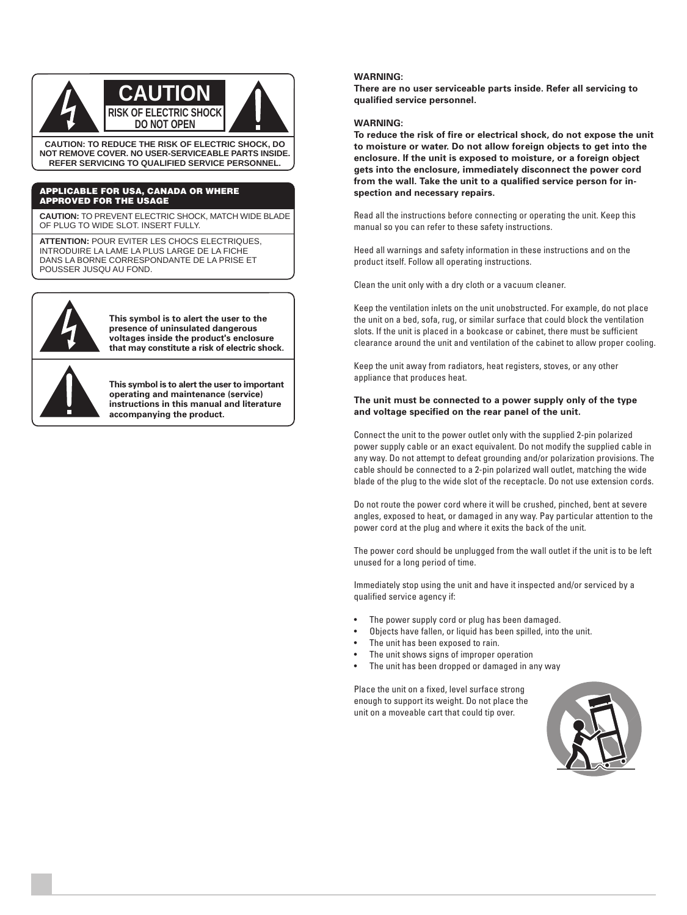

**NOT REMOVE COVER. NO USER-SERVICEABLE PARTS INSIDE. REFER SERVICING TO QUALIFIED SERVICE PERSONNEL.**

#### **APPLICABLE FOR USA, CANADA OR WHERE APPROVED FOR THE USAGE**

**CAUTION:** TO PREVENT ELECTRIC SHOCK, MATCH WIDE BLADE OF PLUG TO WIDE SLOT. INSERT FULLY.

**ATTENTION:** POUR EVITER LES CHOCS ELECTRIQUES, INTRODUIRE LA LAME LA PLUS LARGE DE LA FICHE DANS LA BORNE CORRESPONDANTE DE LA PRISE ET POUSSER JUSQU AU FOND.



**This symbol is to alert the user to the presence of uninsulated dangerous voltages inside the product's enclosure that may constitute a risk of electric shock.**

**This symbol is to alert the user to important operating and maintenance (service) instructions in this manual and literature accompanying the product.**

#### **WARNING:**

**There are no user serviceable parts inside. Refer all servicing to qualified service personnel.**

#### **WARNING:**

**To reduce the risk of fire or electrical shock, do not expose the unit to moisture or water. Do not allow foreign objects to get into the enclosure. If the unit is exposed to moisture, or a foreign object gets into the enclosure, immediately disconnect the power cord from the wall. Take the unit to a qualified service person for inspection and necessary repairs.**

Read all the instructions before connecting or operating the unit. Keep this manual so you can refer to these safety instructions.

Heed all warnings and safety information in these instructions and on the product itself. Follow all operating instructions.

Clean the unit only with a dry cloth or a vacuum cleaner.

Keep the ventilation inlets on the unit unobstructed. For example, do not place the unit on a bed, sofa, rug, or similar surface that could block the ventilation slots. If the unit is placed in a bookcase or cabinet, there must be sufficient clearance around the unit and ventilation of the cabinet to allow proper cooling.

Keep the unit away from radiators, heat registers, stoves, or any other appliance that produces heat.

#### **The unit must be connected to a power supply only of the type and voltage specified on the rear panel of the unit.**

Connect the unit to the power outlet only with the supplied 2-pin polarized power supply cable or an exact equivalent. Do not modify the supplied cable in any way. Do not attempt to defeat grounding and/or polarization provisions. The cable should be connected to a 2-pin polarized wall outlet, matching the wide blade of the plug to the wide slot of the receptacle. Do not use extension cords.

Do not route the power cord where it will be crushed, pinched, bent at severe angles, exposed to heat, or damaged in any way. Pay particular attention to the power cord at the plug and where it exits the back of the unit.

The power cord should be unplugged from the wall outlet if the unit is to be left unused for a long period of time.

Immediately stop using the unit and have it inspected and/or serviced by a qualified service agency if:

- The power supply cord or plug has been damaged.
- Objects have fallen, or liquid has been spilled, into the unit.
- The unit has been exposed to rain.
- The unit shows signs of improper operation
- The unit has been dropped or damaged in any way

Place the unit on a fixed, level surface strong enough to support its weight. Do not place the unit on a moveable cart that could tip over.

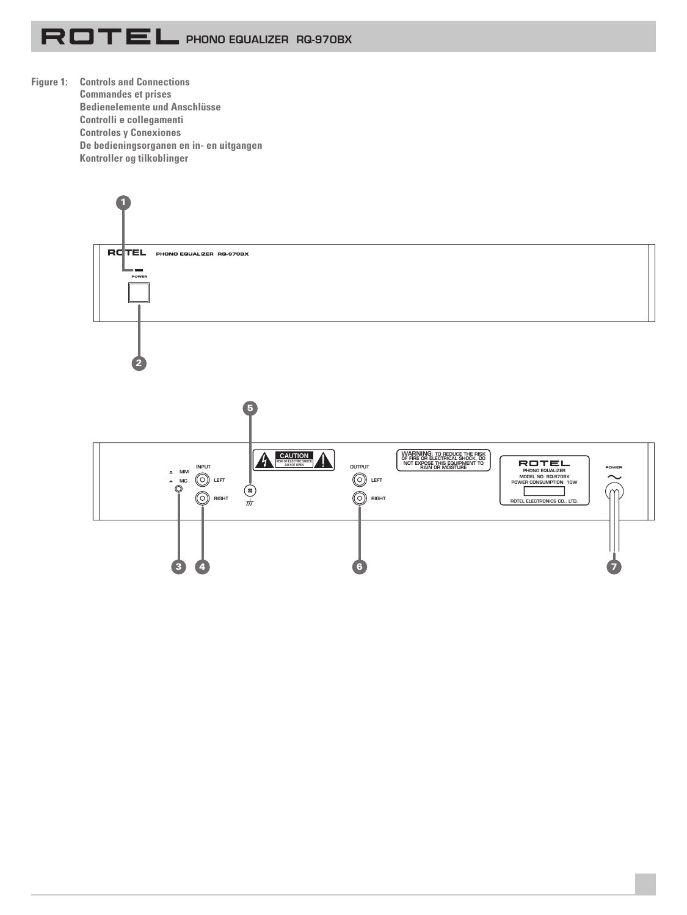

**Figure 1: Controls and Connections Commandes et prises Bedienelemente und Anschlüsse Controlli e collegamenti Controles y Conexiones De bedieningsorganen en in- en uitgangen Kontroller og tilkoblinger**

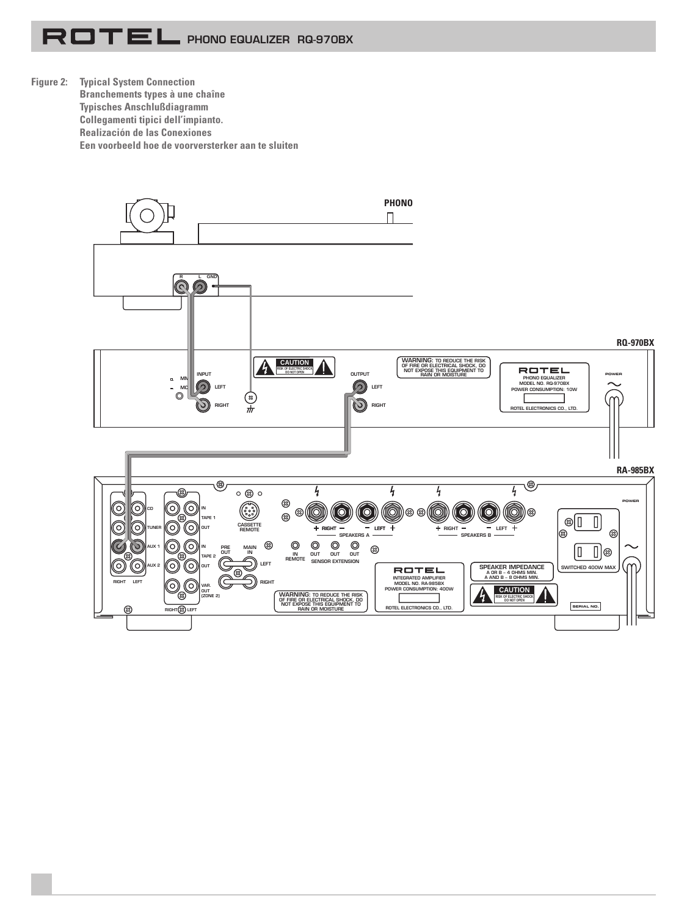**Figure 2: Typical System Connection Branchements types à une chaîne Typisches Anschlußdiagramm Collegamenti tipici dell'impianto. Realización de las Conexiones Een voorbeeld hoe de voorversterker aan te sluiten**

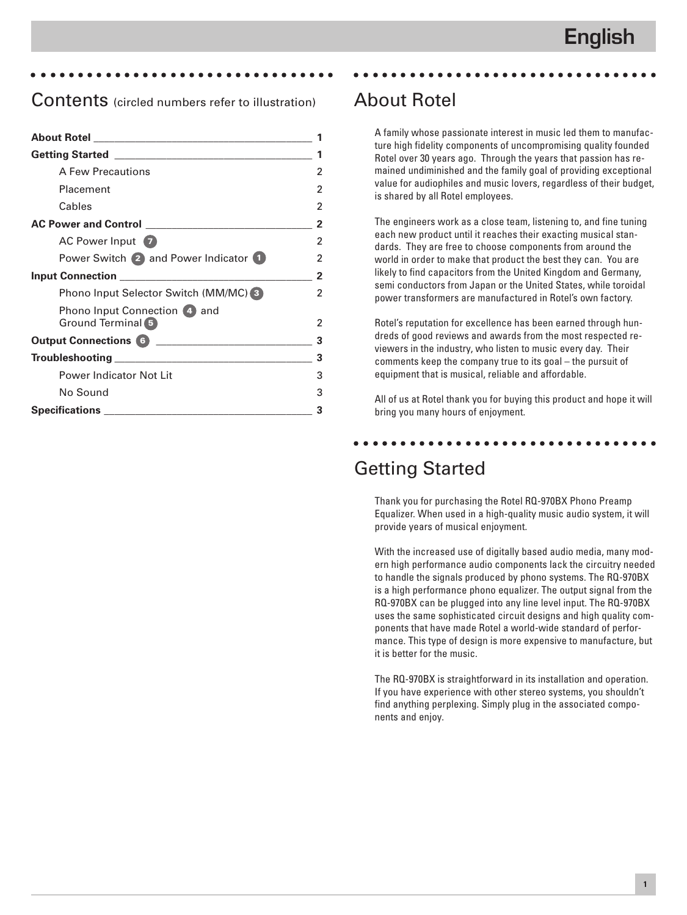#### aaaaaaaaaaaaaaaaaaaaaaaaaaaaaaaaa

### Contents (circled numbers refer to illustration)

| A Few Precautions                     | 2 |
|---------------------------------------|---|
| Placement                             | 2 |
| Cables                                | 2 |
|                                       | 2 |
| AC Power Input                        | 2 |
| Power Switch 2 and Power Indicator 1  | 2 |
|                                       | 2 |
| Phono Input Selector Switch (MM/MC) 3 | 2 |
| Phono Input Connection (4) and        |   |
| Ground Terminal 5                     | 2 |
| Output Connections 6                  | 3 |
|                                       | 3 |
| Power Indicator Not Lit               | 3 |
| No Sound                              | 3 |
| <b>Specifications</b>                 | 3 |

### About Rotel

A family whose passionate interest in music led them to manufacture high fidelity components of uncompromising quality founded Rotel over 30 years ago. Through the years that passion has remained undiminished and the family goal of providing exceptional value for audiophiles and music lovers, regardless of their budget, is shared by all Rotel employees.

aaaaaaaaaaaaaaaaaaaaaaaaaaaaaaaaa

The engineers work as a close team, listening to, and fine tuning each new product until it reaches their exacting musical standards. They are free to choose components from around the world in order to make that product the best they can. You are likely to find capacitors from the United Kingdom and Germany, semi conductors from Japan or the United States, while toroidal power transformers are manufactured in Rotel's own factory.

Rotel's reputation for excellence has been earned through hundreds of good reviews and awards from the most respected reviewers in the industry, who listen to music every day. Their comments keep the company true to its goal – the pursuit of equipment that is musical, reliable and affordable.

All of us at Rotel thank you for buying this product and hope it will bring you many hours of enjoyment.

### aaaaaaaaaaaaaaaaaaaaaaaaaaaaaaaaa

### Getting Started

Thank you for purchasing the Rotel RQ-970BX Phono Preamp Equalizer. When used in a high-quality music audio system, it will provide years of musical enjoyment.

With the increased use of digitally based audio media, many modern high performance audio components lack the circuitry needed to handle the signals produced by phono systems. The RQ-970BX is a high performance phono equalizer. The output signal from the RQ-970BX can be plugged into any line level input. The RQ-970BX uses the same sophisticated circuit designs and high quality components that have made Rotel a world-wide standard of performance. This type of design is more expensive to manufacture, but it is better for the music.

The RQ-970BX is straightforward in its installation and operation. If you have experience with other stereo systems, you shouldn't find anything perplexing. Simply plug in the associated components and enjoy.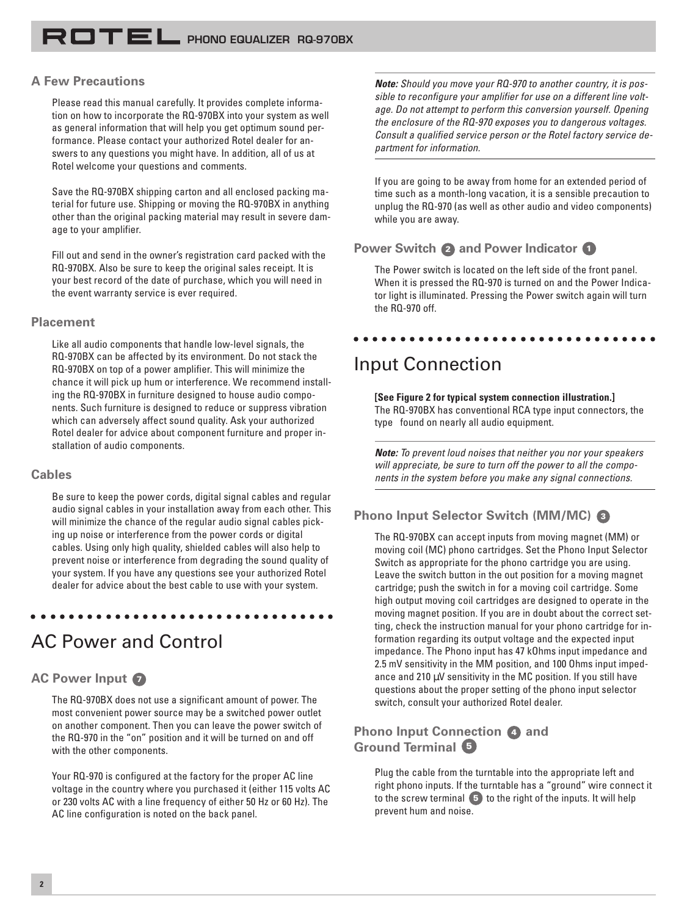#### **A Few Precautions**

Please read this manual carefully. It provides complete information on how to incorporate the RQ-970BX into your system as well as general information that will help you get optimum sound performance. Please contact your authorized Rotel dealer for answers to any questions you might have. In addition, all of us at Rotel welcome your questions and comments.

Save the RQ-970BX shipping carton and all enclosed packing material for future use. Shipping or moving the RQ-970BX in anything other than the original packing material may result in severe damage to your amplifier.

Fill out and send in the owner's registration card packed with the RQ-970BX. Also be sure to keep the original sales receipt. It is your best record of the date of purchase, which you will need in the event warranty service is ever required.

#### **Placement**

Like all audio components that handle low-level signals, the RQ-970BX can be affected by its environment. Do not stack the RQ-970BX on top of a power amplifier. This will minimize the chance it will pick up hum or interference. We recommend installing the RQ-970BX in furniture designed to house audio components. Such furniture is designed to reduce or suppress vibration which can adversely affect sound quality. Ask your authorized Rotel dealer for advice about component furniture and proper installation of audio components.

#### **Cables**

Be sure to keep the power cords, digital signal cables and regular audio signal cables in your installation away from each other. This will minimize the chance of the regular audio signal cables picking up noise or interference from the power cords or digital cables. Using only high quality, shielded cables will also help to prevent noise or interference from degrading the sound quality of your system. If you have any questions see your authorized Rotel dealer for advice about the best cable to use with your system.

aaaaaaaaaaaaaaaaaaaaaaaaaaaaaaaaa

### AC Power and Control

#### **AC Power Input <sup>7</sup>**

The RQ-970BX does not use a significant amount of power. The most convenient power source may be a switched power outlet on another component. Then you can leave the power switch of the RQ-970 in the "on" position and it will be turned on and off with the other components.

Your RQ-970 is configured at the factory for the proper AC line voltage in the country where you purchased it (either 115 volts AC or 230 volts AC with a line frequency of either 50 Hz or 60 Hz). The AC line configuration is noted on the back panel.

**Note:** Should you move your RQ-970 to another country, it is possible to reconfigure your amplifier for use on a different line voltage. Do not attempt to perform this conversion yourself. Opening the enclosure of the RQ-970 exposes you to dangerous voltages. Consult a qualified service person or the Rotel factory service department for information.

If you are going to be away from home for an extended period of time such as a month-long vacation, it is a sensible precaution to unplug the RQ-970 (as well as other audio and video components) while you are away.

#### **Power Switch 2 and Power Indicator <sup>1</sup>**

The Power switch is located on the left side of the front panel. When it is pressed the RQ-970 is turned on and the Power Indicator light is illuminated. Pressing the Power switch again will turn the RQ-970 off.

aaaaaaaaaaaaaaaaaaaaaaaaaaaaaaaaa

# Input Connection

**[See Figure 2 for typical system connection illustration.]** The RQ-970BX has conventional RCA type input connectors, the type found on nearly all audio equipment.

**Note:** To prevent loud noises that neither you nor your speakers will appreciate, be sure to turn off the power to all the components in the system before you make any signal connections.

#### **Phono Input Selector Switch (MM/MC) <sup>3</sup>**

The RQ-970BX can accept inputs from moving magnet (MM) or moving coil (MC) phono cartridges. Set the Phono Input Selector Switch as appropriate for the phono cartridge you are using. Leave the switch button in the out position for a moving magnet cartridge; push the switch in for a moving coil cartridge. Some high output moving coil cartridges are designed to operate in the moving magnet position. If you are in doubt about the correct setting, check the instruction manual for your phono cartridge for information regarding its output voltage and the expected input impedance. The Phono input has 47 kOhms input impedance and 2.5 mV sensitivity in the MM position, and 100 Ohms input impedance and 210  $\mu$ V sensitivity in the MC position. If you still have questions about the proper setting of the phono input selector switch, consult your authorized Rotel dealer.

### **Phono Input Connection 4 and Ground Terminal 5**

Plug the cable from the turntable into the appropriate left and right phono inputs. If the turntable has a "ground" wire connect it to the screw terminal **5** to the right of the inputs. It will help prevent hum and noise.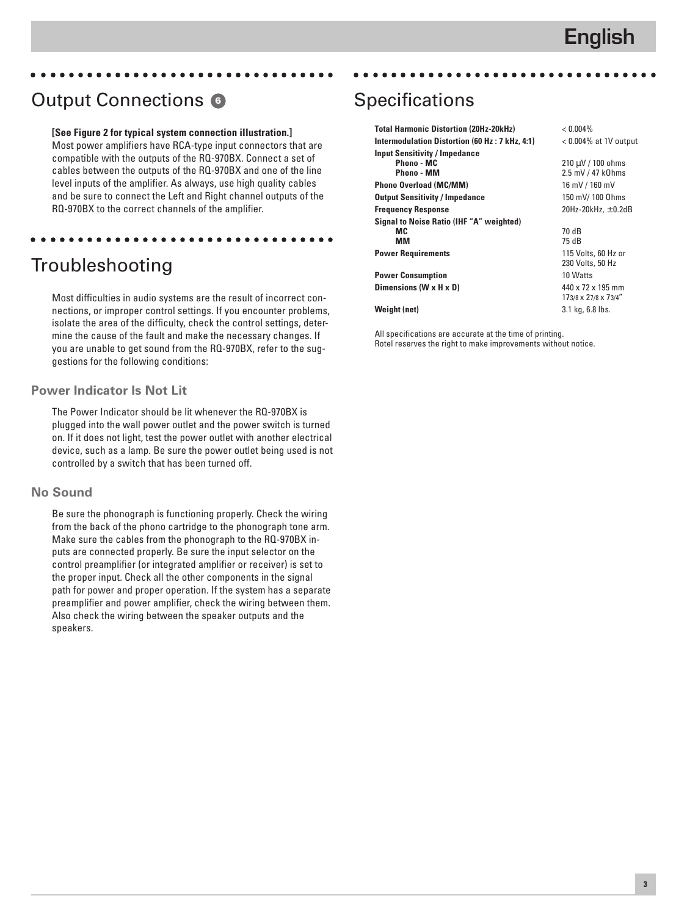# Output Connections **<sup>6</sup>**

#### **[See Figure 2 for typical system connection illustration.]**

aaaaaaaaaaaaaaaaaaaaaaaaaaaaaaaaa

aaaaaaaaaaaaaaaaaaaaaaaaaaaaaaaaa

Most power amplifiers have RCA-type input connectors that are compatible with the outputs of the RQ-970BX. Connect a set of cables between the outputs of the RQ-970BX and one of the line level inputs of the amplifier. As always, use high quality cables and be sure to connect the Left and Right channel outputs of the RQ-970BX to the correct channels of the amplifier.

# Troubleshooting

Most difficulties in audio systems are the result of incorrect connections, or improper control settings. If you encounter problems, isolate the area of the difficulty, check the control settings, determine the cause of the fault and make the necessary changes. If you are unable to get sound from the RQ-970BX, refer to the suggestions for the following conditions:

#### **Power Indicator Is Not Lit**

The Power Indicator should be lit whenever the RQ-970BX is plugged into the wall power outlet and the power switch is turned on. If it does not light, test the power outlet with another electrical device, such as a lamp. Be sure the power outlet being used is not controlled by a switch that has been turned off.

#### **No Sound**

Be sure the phonograph is functioning properly. Check the wiring from the back of the phono cartridge to the phonograph tone arm. Make sure the cables from the phonograph to the RQ-970BX inputs are connected properly. Be sure the input selector on the control preamplifier (or integrated amplifier or receiver) is set to the proper input. Check all the other components in the signal path for power and proper operation. If the system has a separate preamplifier and power amplifier, check the wiring between them. Also check the wiring between the speaker outputs and the speakers.

# **Specifications**

| <b>Total Harmonic Distortion (20Hz-20kHz)</b>   | $< 0.004\%$              |
|-------------------------------------------------|--------------------------|
| Intermodulation Distortion (60 Hz : 7 kHz, 4:1) | $< 0.004\%$ at 1V output |
| <b>Input Sensitivity / Impedance</b>            |                          |
| <b>Phono - MC</b>                               | $210 \mu V / 100$ ohms   |
| Phono - MM                                      | 2.5 mV / 47 k0hms        |
| <b>Phono Overload (MC/MM)</b>                   | 16 mV / 160 mV           |
| <b>Output Sensitivity / Impedance</b>           | 150 mV/100 0hms          |
| <b>Frequency Response</b>                       | 20Hz-20kHz, $\pm$ 0.2dB  |
| <b>Signal to Noise Ratio (IHF "A" weighted)</b> |                          |
| MC.                                             | 70 dB                    |
| MМ                                              | 75 dB                    |
| <b>Power Requirements</b>                       | 115 Volts, 60 Hz or      |
|                                                 | 230 Volts, 50 Hz         |
| <b>Power Consumption</b>                        | 10 Watts                 |
| Dimensions (W x H x D)                          | 440 x 72 x 195 mm        |
|                                                 | 173/8 x 27/8 x 73/4"     |
| Weight (net)                                    | 3.1 kg, 6.8 lbs.         |

aaaaaaaaaaaaaaaaaaaaaaaaaaaaaaaaa

All specifications are accurate at the time of printing. Rotel reserves the right to make improvements without notice.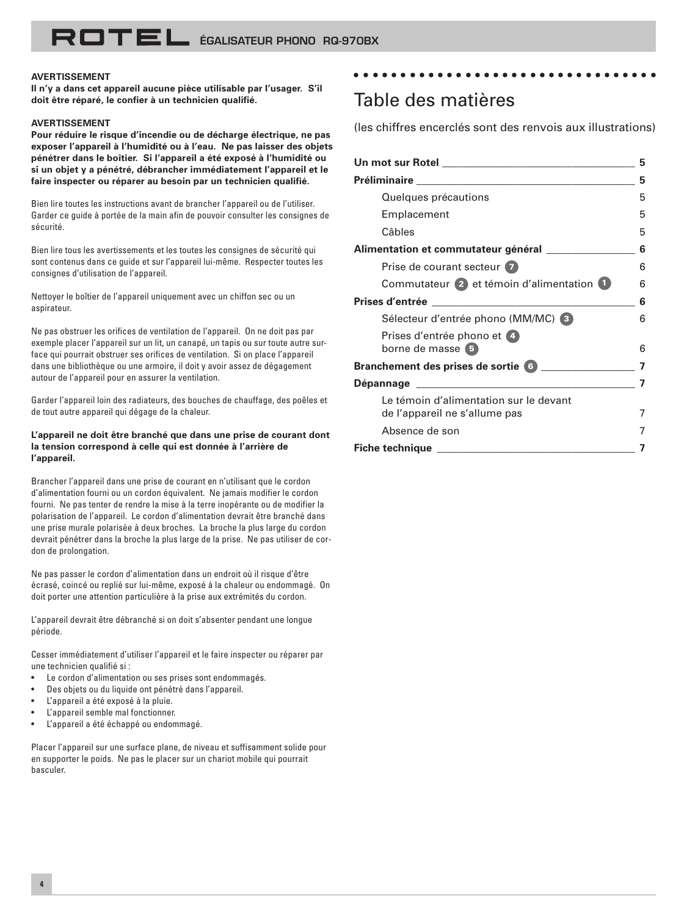#### **AVERTISSEMENT**

**Il n'y a dans cet appareil aucune pièce utilisable par l'usager. S'il doit être réparé, le confier à un technicien qualifié.**

#### **AVERTISSEMENT**

**Pour réduire le risque d'incendie ou de décharge électrique, ne pas exposer l'appareil à l'humidité ou à l'eau. Ne pas laisser des objets pénétrer dans le boîtier. Si l'appareil a été exposé à l'humidité ou si un objet y a pénétré, débrancher immédiatement l'appareil et le faire inspecter ou réparer au besoin par un technicien qualifié.**

Bien lire toutes les instructions avant de brancher l'appareil ou de l'utiliser. Garder ce guide à portée de la main afin de pouvoir consulter les consignes de sécurité.

Bien lire tous les avertissements et les toutes les consignes de sécurité qui sont contenus dans ce guide et sur l'appareil lui-même. Respecter toutes les consignes d'utilisation de l'appareil.

Nettoyer le boîtier de l'appareil uniquement avec un chiffon sec ou un aspirateur.

Ne pas obstruer les orifices de ventilation de l'appareil. On ne doit pas par exemple placer l'appareil sur un lit, un canapé, un tapis ou sur toute autre surface qui pourrait obstruer ses orifices de ventilation. Si on place l'appareil dans une bibliothèque ou une armoire, il doit y avoir assez de dégagement autour de l'appareil pour en assurer la ventilation.

Garder l'appareil loin des radiateurs, des bouches de chauffage, des poêles et de tout autre appareil qui dégage de la chaleur.

#### **L'appareil ne doit être branché que dans une prise de courant dont la tension correspond à celle qui est donnée à l'arrière de l'appareil.**

Brancher l'appareil dans une prise de courant en n'utilisant que le cordon d'alimentation fourni ou un cordon équivalent. Ne jamais modifier le cordon fourni. Ne pas tenter de rendre la mise à la terre inopérante ou de modifier la polarisation de l'appareil. Le cordon d'alimentation devrait être branché dans une prise murale polarisée à deux broches. La broche la plus large du cordon devrait pénétrer dans la broche la plus large de la prise. Ne pas utiliser de cordon de prolongation.

Ne pas passer le cordon d'alimentation dans un endroit où il risque d'être écrasé, coincé ou replié sur lui-même, exposé à la chaleur ou endommagé. On doit porter une attention particulière à la prise aux extrémités du cordon.

L'appareil devrait être débranché si on doit s'absenter pendant une longue période.

Cesser immédiatement d'utiliser l'appareil et le faire inspecter ou réparer par une technicien qualifié si :

- Le cordon d'alimentation ou ses prises sont endommagés.
- Des objets ou du liquide ont pénétré dans l'appareil.
- L'appareil a été exposé à la pluie.
- L'appareil semble mal fonctionner.
- L'appareil a été échappé ou endommagé.

Placer l'appareil sur une surface plane, de niveau et suffisamment solide pour en supporter le poids. Ne pas le placer sur un chariot mobile qui pourrait basculer.

### Table des matières

(les chiffres encerclés sont des renvois aux illustrations)

aaaaaaaaaaaaaaaaaaaaaaaaaaaaaaaaa

|                                                                                | 5 |
|--------------------------------------------------------------------------------|---|
|                                                                                | 5 |
| Quelques précautions                                                           | 5 |
| Emplacement                                                                    | 5 |
| Câbles                                                                         | 5 |
| Alimentation et commutateur général                                            | 6 |
| Prise de courant secteur 7                                                     | 6 |
| Commutateur 2 et témoin d'alimentation 1                                       | 6 |
| Prises d'entrée<br><u> 1980 - Jan Barbara, manazarta bashkar a shekara tsh</u> | 6 |
| Sélecteur d'entrée phono (MM/MC) 3                                             | 6 |
| Prises d'entrée phono et (4)<br>borne de masse 5                               | 6 |
| <b>Branchement des prises de sortie 6</b>                                      |   |
|                                                                                |   |
| Le témoin d'alimentation sur le devant                                         |   |
| de l'appareil ne s'allume pas                                                  |   |
| Absence de son                                                                 |   |
| <b>Fiche technique</b>                                                         |   |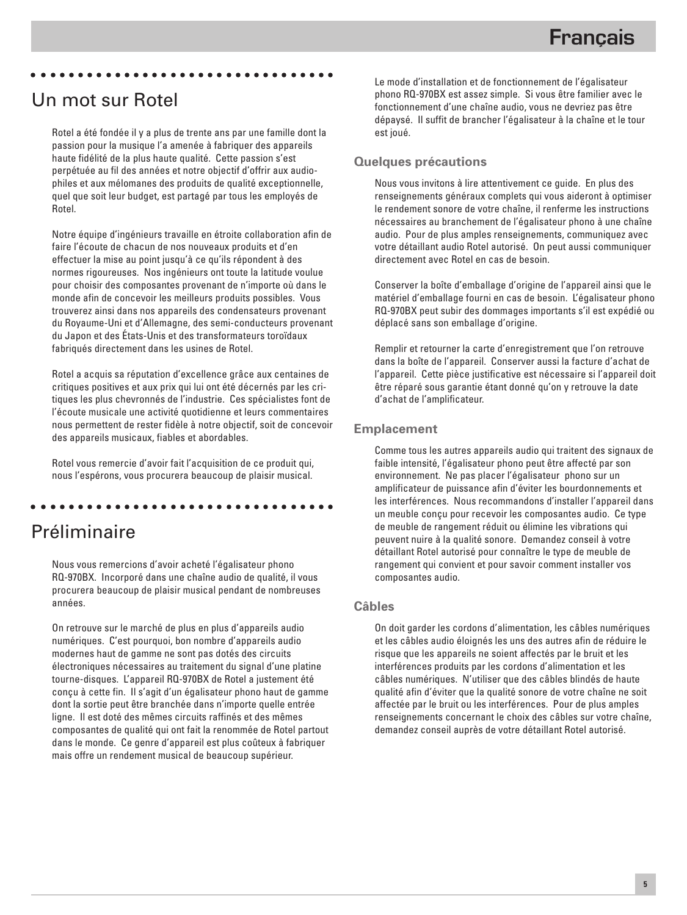### Un mot sur Rotel

Rotel a été fondée il y a plus de trente ans par une famille dont la passion pour la musique l'a amenée à fabriquer des appareils haute fidélité de la plus haute qualité. Cette passion s'est perpétuée au fil des années et notre objectif d'offrir aux audiophiles et aux mélomanes des produits de qualité exceptionnelle, quel que soit leur budget, est partagé par tous les employés de Rotel.

aaaaaaaaaaaaaaaaaaaaaaaaaaaaaaaaa

Notre équipe d'ingénieurs travaille en étroite collaboration afin de faire l'écoute de chacun de nos nouveaux produits et d'en effectuer la mise au point jusqu'à ce qu'ils répondent à des normes rigoureuses. Nos ingénieurs ont toute la latitude voulue pour choisir des composantes provenant de n'importe où dans le monde afin de concevoir les meilleurs produits possibles. Vous trouverez ainsi dans nos appareils des condensateurs provenant du Royaume-Uni et d'Allemagne, des semi-conducteurs provenant du Japon et des États-Unis et des transformateurs toroïdaux fabriqués directement dans les usines de Rotel.

Rotel a acquis sa réputation d'excellence grâce aux centaines de critiques positives et aux prix qui lui ont été décernés par les critiques les plus chevronnés de l'industrie. Ces spécialistes font de l'écoute musicale une activité quotidienne et leurs commentaires nous permettent de rester fidèle à notre objectif, soit de concevoir des appareils musicaux, fiables et abordables.

Rotel vous remercie d'avoir fait l'acquisition de ce produit qui, nous l'espérons, vous procurera beaucoup de plaisir musical.

aaaaaaaaaaaaaaaaaaaaaaaaaaaaaaaaa

# Préliminaire

Nous vous remercions d'avoir acheté l'égalisateur phono RQ-970BX. Incorporé dans une chaîne audio de qualité, il vous procurera beaucoup de plaisir musical pendant de nombreuses années.

On retrouve sur le marché de plus en plus d'appareils audio numériques. C'est pourquoi, bon nombre d'appareils audio modernes haut de gamme ne sont pas dotés des circuits électroniques nécessaires au traitement du signal d'une platine tourne-disques. L'appareil RQ-970BX de Rotel a justement été conçu à cette fin. Il s'agit d'un égalisateur phono haut de gamme dont la sortie peut être branchée dans n'importe quelle entrée ligne. Il est doté des mêmes circuits raffinés et des mêmes composantes de qualité qui ont fait la renommée de Rotel partout dans le monde. Ce genre d'appareil est plus coûteux à fabriquer mais offre un rendement musical de beaucoup supérieur.

Le mode d'installation et de fonctionnement de l'égalisateur phono RQ-970BX est assez simple. Si vous être familier avec le fonctionnement d'une chaîne audio, vous ne devriez pas être dépaysé. Il suffit de brancher l'égalisateur à la chaîne et le tour est joué.

#### **Quelques précautions**

Nous vous invitons à lire attentivement ce guide. En plus des renseignements généraux complets qui vous aideront à optimiser le rendement sonore de votre chaîne, il renferme les instructions nécessaires au branchement de l'égalisateur phono à une chaîne audio. Pour de plus amples renseignements, communiquez avec votre détaillant audio Rotel autorisé. On peut aussi communiquer directement avec Rotel en cas de besoin.

Conserver la boîte d'emballage d'origine de l'appareil ainsi que le matériel d'emballage fourni en cas de besoin. L'égalisateur phono RQ-970BX peut subir des dommages importants s'il est expédié ou déplacé sans son emballage d'origine.

Remplir et retourner la carte d'enregistrement que l'on retrouve dans la boîte de l'appareil. Conserver aussi la facture d'achat de l'appareil. Cette pièce justificative est nécessaire si l'appareil doit être réparé sous garantie étant donné qu'on y retrouve la date d'achat de l'amplificateur.

#### **Emplacement**

Comme tous les autres appareils audio qui traitent des signaux de faible intensité, l'égalisateur phono peut être affecté par son environnement. Ne pas placer l'égalisateur phono sur un amplificateur de puissance afin d'éviter les bourdonnements et les interférences. Nous recommandons d'installer l'appareil dans un meuble conçu pour recevoir les composantes audio. Ce type de meuble de rangement réduit ou élimine les vibrations qui peuvent nuire à la qualité sonore. Demandez conseil à votre détaillant Rotel autorisé pour connaître le type de meuble de rangement qui convient et pour savoir comment installer vos composantes audio.

#### **Câbles**

On doit garder les cordons d'alimentation, les câbles numériques et les câbles audio éloignés les uns des autres afin de réduire le risque que les appareils ne soient affectés par le bruit et les interférences produits par les cordons d'alimentation et les câbles numériques. N'utiliser que des câbles blindés de haute qualité afin d'éviter que la qualité sonore de votre chaîne ne soit affectée par le bruit ou les interférences. Pour de plus amples renseignements concernant le choix des câbles sur votre chaîne, demandez conseil auprès de votre détaillant Rotel autorisé.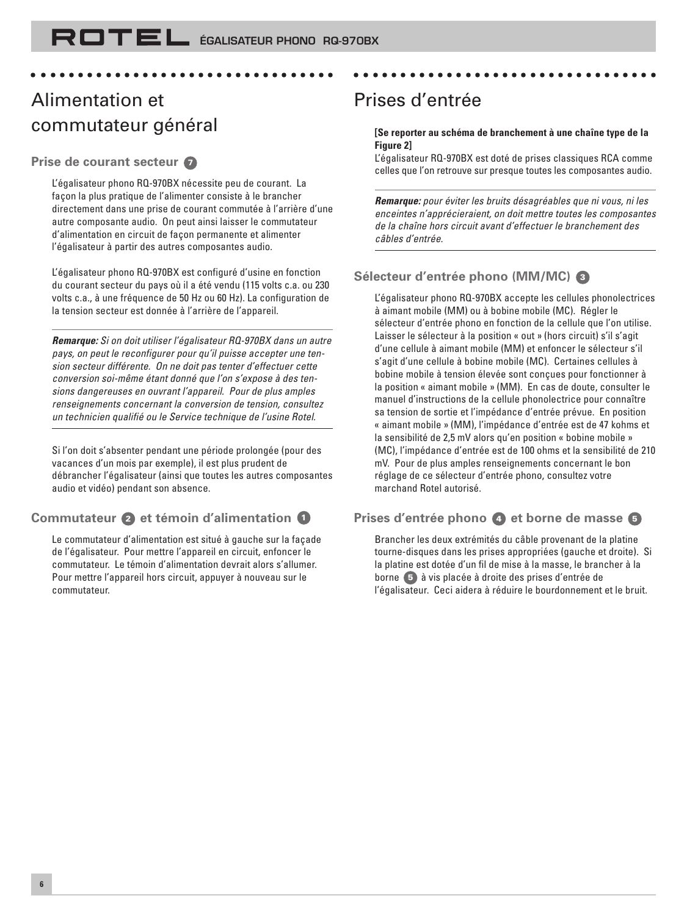aaaaaaaaaaaaaaaaaaaaaaaaaaaaaaaaa

# Alimentation et commutateur général

#### **Prise de courant secteur <sup>7</sup>**

L'égalisateur phono RQ-970BX nécessite peu de courant. La façon la plus pratique de l'alimenter consiste à le brancher directement dans une prise de courant commutée à l'arrière d'une autre composante audio. On peut ainsi laisser le commutateur d'alimentation en circuit de façon permanente et alimenter l'égalisateur à partir des autres composantes audio.

L'égalisateur phono RQ-970BX est configuré d'usine en fonction du courant secteur du pays où il a été vendu (115 volts c.a. ou 230 volts c.a., à une fréquence de 50 Hz ou 60 Hz). La configuration de la tension secteur est donnée à l'arrière de l'appareil.

**Remarque:** Si on doit utiliser l'égalisateur RQ-970BX dans un autre pays, on peut le reconfigurer pour qu'il puisse accepter une tension secteur différente. On ne doit pas tenter d'effectuer cette conversion soi-même étant donné que l'on s'expose à des tensions dangereuses en ouvrant l'appareil. Pour de plus amples renseignements concernant la conversion de tension, consultez un technicien qualifié ou le Service technique de l'usine Rotel.

Si l'on doit s'absenter pendant une période prolongée (pour des vacances d'un mois par exemple), il est plus prudent de débrancher l'égalisateur (ainsi que toutes les autres composantes audio et vidéo) pendant son absence.

### **Commutateur 2 et témoin d'alimentation <sup>1</sup>**

Le commutateur d'alimentation est situé à gauche sur la façade de l'égalisateur. Pour mettre l'appareil en circuit, enfoncer le commutateur. Le témoin d'alimentation devrait alors s'allumer. Pour mettre l'appareil hors circuit, appuyer à nouveau sur le commutateur.

# Prises d'entrée

#### **[Se reporter au schéma de branchement à une chaîne type de la Figure 2]**

aaaaaaaaaaaaaaaaaaaaaaaaaaaaaaaaa

L'égalisateur RQ-970BX est doté de prises classiques RCA comme celles que l'on retrouve sur presque toutes les composantes audio.

**Remarque:** pour éviter les bruits désagréables que ni vous, ni les enceintes n'apprécieraient, on doit mettre toutes les composantes de la chaîne hors circuit avant d'effectuer le branchement des câbles d'entrée.

### **Sélecteur d'entrée phono (MM/MC) <sup>3</sup>**

L'égalisateur phono RQ-970BX accepte les cellules phonolectrices à aimant mobile (MM) ou à bobine mobile (MC). Régler le sélecteur d'entrée phono en fonction de la cellule que l'on utilise. Laisser le sélecteur à la position « out » (hors circuit) s'il s'agit d'une cellule à aimant mobile (MM) et enfoncer le sélecteur s'il s'agit d'une cellule à bobine mobile (MC). Certaines cellules à bobine mobile à tension élevée sont conçues pour fonctionner à la position « aimant mobile » (MM). En cas de doute, consulter le manuel d'instructions de la cellule phonolectrice pour connaître sa tension de sortie et l'impédance d'entrée prévue. En position «␣ aimant mobile␣ » (MM), l'impédance d'entrée est de 47 kohms et la sensibilité de 2,5 mV alors qu'en position « bobine mobile » (MC), l'impédance d'entrée est de 100 ohms et la sensibilité de 210 mV. Pour de plus amples renseignements concernant le bon réglage de ce sélecteur d'entrée phono, consultez votre marchand Rotel autorisé.

### **Prises d'entrée phono 4 et borne de masse <sup>5</sup>**

Brancher les deux extrémités du câble provenant de la platine tourne-disques dans les prises appropriées (gauche et droite). Si la platine est dotée d'un fil de mise à la masse, le brancher à la borne **5** à vis placée à droite des prises d'entrée de l'égalisateur. Ceci aidera à réduire le bourdonnement et le bruit.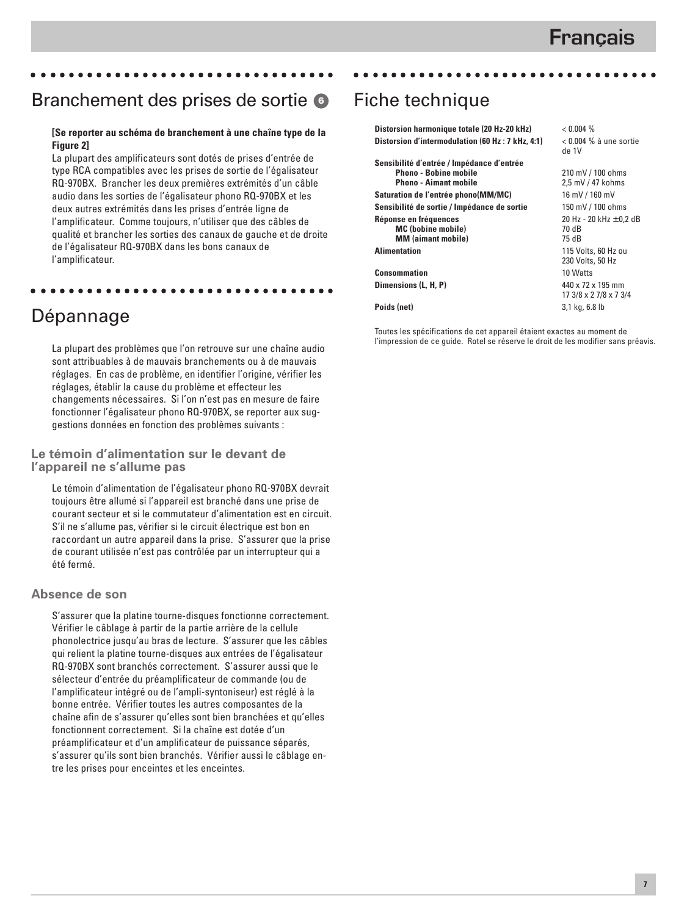# Branchement des prises de sortie **<sup>6</sup>**

aaaaaaaaaaaaaaaaaaaaaaaaaaaaaaaaa

#### **[Se reporter au schéma de branchement à une chaîne type de la Figure 2]**

La plupart des amplificateurs sont dotés de prises d'entrée de type RCA compatibles avec les prises de sortie de l'égalisateur RQ-970BX. Brancher les deux premières extrémités d'un câble audio dans les sorties de l'égalisateur phono RQ-970BX et les deux autres extrémités dans les prises d'entrée ligne de l'amplificateur. Comme toujours, n'utiliser que des câbles de qualité et brancher les sorties des canaux de gauche et de droite de l'égalisateur RQ-970BX dans les bons canaux de l'amplificateur.

aaaaaaaaaaaaaaaaaaaaaaaaaaaaaaaaa

# Dépannage

La plupart des problèmes que l'on retrouve sur une chaîne audio sont attribuables à de mauvais branchements ou à de mauvais réglages. En cas de problème, en identifier l'origine, vérifier les réglages, établir la cause du problème et effecteur les changements nécessaires. Si l'on n'est pas en mesure de faire fonctionner l'égalisateur phono RQ-970BX, se reporter aux suggestions données en fonction des problèmes suivants :

**Le témoin d'alimentation sur le devant de l'appareil ne s'allume pas**

Le témoin d'alimentation de l'égalisateur phono RQ-970BX devrait toujours être allumé si l'appareil est branché dans une prise de courant secteur et si le commutateur d'alimentation est en circuit. S'il ne s'allume pas, vérifier si le circuit électrique est bon en raccordant un autre appareil dans la prise. S'assurer que la prise de courant utilisée n'est pas contrôlée par un interrupteur qui a été fermé.

#### **Absence de son**

S'assurer que la platine tourne-disques fonctionne correctement. Vérifier le câblage à partir de la partie arrière de la cellule phonolectrice jusqu'au bras de lecture. S'assurer que les câbles qui relient la platine tourne-disques aux entrées de l'égalisateur RQ-970BX sont branchés correctement. S'assurer aussi que le sélecteur d'entrée du préamplificateur de commande (ou de l'amplificateur intégré ou de l'ampli-syntoniseur) est réglé à la bonne entrée. Vérifier toutes les autres composantes de la chaîne afin de s'assurer qu'elles sont bien branchées et qu'elles fonctionnent correctement. Si la chaîne est dotée d'un préamplificateur et d'un amplificateur de puissance séparés, s'assurer qu'ils sont bien branchés. Vérifier aussi le câblage entre les prises pour enceintes et les enceintes.

# Fiche technique

| Distorsion harmonique totale (20 Hz-20 kHz)                                                        | < 0.004 %                                     |
|----------------------------------------------------------------------------------------------------|-----------------------------------------------|
| Distorsion d'intermodulation (60 Hz : 7 kHz, 4:1)                                                  | $<$ 0.004 % à une sortie<br>de 1V             |
| Sensibilité d'entrée / Impédance d'entrée<br>Phono - Bobine mobile<br><b>Phono - Aimant mobile</b> | 210 mV / 100 ohms<br>2,5 mV / 47 kohms        |
| Saturation de l'entrée phono(MM/MC)                                                                | 16 mV / 160 mV                                |
| Sensibilité de sortie / Impédance de sortie                                                        | 150 mV / 100 ohms                             |
| Réponse en fréquences<br><b>MC</b> (bobine mobile)<br><b>MM</b> (aimant mobile)                    | 20 Hz - 20 kHz $\pm$ 0,2 dB<br>70 dB<br>75 dB |
| <b>Alimentation</b>                                                                                | 115 Volts, 60 Hz ou<br>230 Volts, 50 Hz       |
| <b>Consommation</b>                                                                                | 10 Watts                                      |
| Dimensions (L, H, P)                                                                               | 440 x 72 x 195 mm<br>17 3/8 x 2 7/8 x 7 3/4   |
| Poids (net)                                                                                        | 3,1 kg, 6.8 lb                                |

aaaaaaaaaaaaaaaaaaaaaaaaaaaaaaaaa

Toutes les spécifications de cet appareil étaient exactes au moment de l'impression de ce guide. Rotel se réserve le droit de les modifier sans préavis.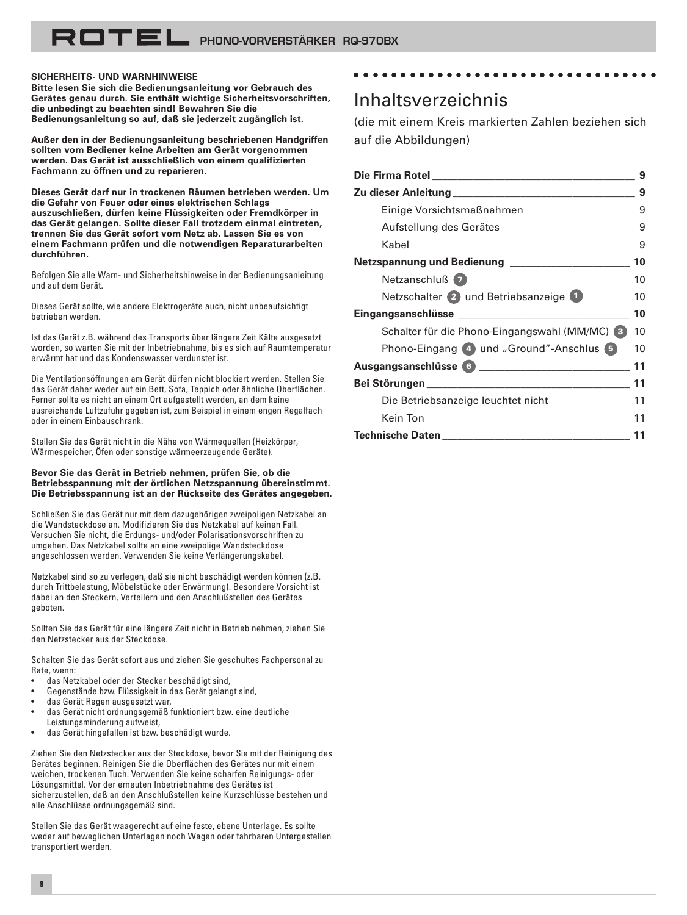#### **SICHERHEITS- UND WARNHINWEISE**

**Bitte lesen Sie sich die Bedienungsanleitung vor Gebrauch des Gerätes genau durch. Sie enthält wichtige Sicherheitsvorschriften, die unbedingt zu beachten sind! Bewahren Sie die Bedienungsanleitung so auf, daß sie jederzeit zugänglich ist.**

**Außer den in der Bedienungsanleitung beschriebenen Handgriffen sollten vom Bediener keine Arbeiten am Gerät vorgenommen werden. Das Gerät ist ausschließlich von einem qualifizierten Fachmann zu öffnen und zu reparieren.**

**Dieses Gerät darf nur in trockenen Räumen betrieben werden. Um die Gefahr von Feuer oder eines elektrischen Schlags auszuschließen, dürfen keine Flüssigkeiten oder Fremdkörper in das Gerät gelangen. Sollte dieser Fall trotzdem einmal eintreten, trennen Sie das Gerät sofort vom Netz ab. Lassen Sie es von einem Fachmann prüfen und die notwendigen Reparaturarbeiten durchführen.**

Befolgen Sie alle Warn- und Sicherheitshinweise in der Bedienungsanleitung und auf dem Gerät.

Dieses Gerät sollte, wie andere Elektrogeräte auch, nicht unbeaufsichtigt betrieben werden.

Ist das Gerät z.B. während des Transports über längere Zeit Kälte ausgesetzt worden, so warten Sie mit der Inbetriebnahme, bis es sich auf Raumtemperatur erwärmt hat und das Kondenswasser verdunstet ist.

Die Ventilationsöffnungen am Gerät dürfen nicht blockiert werden. Stellen Sie das Gerät daher weder auf ein Bett, Sofa, Teppich oder ähnliche Oberflächen. Ferner sollte es nicht an einem Ort aufgestellt werden, an dem keine ausreichende Luftzufuhr gegeben ist, zum Beispiel in einem engen Regalfach oder in einem Einbauschrank.

Stellen Sie das Gerät nicht in die Nähe von Wärmequellen (Heizkörper, Wärmespeicher, Öfen oder sonstige wärmeerzeugende Geräte).

#### **Bevor Sie das Gerät in Betrieb nehmen, prüfen Sie, ob die Betriebsspannung mit der örtlichen Netzspannung übereinstimmt. Die Betriebsspannung ist an der Rückseite des Gerätes angegeben.**

Schließen Sie das Gerät nur mit dem dazugehörigen zweipoligen Netzkabel an die Wandsteckdose an. Modifizieren Sie das Netzkabel auf keinen Fall. Versuchen Sie nicht, die Erdungs- und/oder Polarisationsvorschriften zu umgehen. Das Netzkabel sollte an eine zweipolige Wandsteckdose angeschlossen werden. Verwenden Sie keine Verlängerungskabel.

Netzkabel sind so zu verlegen, daß sie nicht beschädigt werden können (z.B. durch Trittbelastung, Möbelstücke oder Erwärmung). Besondere Vorsicht ist dabei an den Steckern, Verteilern und den Anschlußstellen des Gerätes geboten.

Sollten Sie das Gerät für eine längere Zeit nicht in Betrieb nehmen, ziehen Sie den Netzstecker aus der Steckdose.

Schalten Sie das Gerät sofort aus und ziehen Sie geschultes Fachpersonal zu Rate, wenn:

- das Netzkabel oder der Stecker beschädigt sind,
- Gegenstände bzw. Flüssigkeit in das Gerät gelangt sind,
- das Gerät Regen ausgesetzt war,
- das Gerät nicht ordnungsgemäß funktioniert bzw. eine deutliche Leistungsminderung aufweist,
- das Gerät hingefallen ist bzw. beschädigt wurde.

Ziehen Sie den Netzstecker aus der Steckdose, bevor Sie mit der Reinigung des Gerätes beginnen. Reinigen Sie die Oberflächen des Gerätes nur mit einem weichen, trockenen Tuch. Verwenden Sie keine scharfen Reinigungs- oder Lösungsmittel. Vor der erneuten Inbetriebnahme des Gerätes ist sicherzustellen, daß an den Anschlußstellen keine Kurzschlüsse bestehen und alle Anschlüsse ordnungsgemäß sind.

Stellen Sie das Gerät waagerecht auf eine feste, ebene Unterlage. Es sollte weder auf beweglichen Unterlagen noch Wagen oder fahrbaren Untergestellen transportiert werden.

### Inhaltsverzeichnis

aaaaaaaaaaaaaaaaaaaaaaaaaaaaaaaaa

(die mit einem Kreis markierten Zahlen beziehen sich auf die Abbildungen)

| <u>Die Firma Rotel in die Staatsbesonder van die Staatsbesonder van die Staatsbesonder van die Staatsbesonder van</u> | 9  |
|-----------------------------------------------------------------------------------------------------------------------|----|
| Zu dieser Anleitung ________________________                                                                          | 9  |
| Einige Vorsichtsmaßnahmen                                                                                             | 9  |
| Aufstellung des Gerätes                                                                                               | 9  |
| Kabel                                                                                                                 | 9  |
| Netzspannung und Bedienung                                                                                            | 10 |
| Netzanschluß 7                                                                                                        | 10 |
| Netzschalter 2 und Betriebsanzeige 1                                                                                  | 10 |
| Eingangsanschlüsse <b>Eingangsanschlüsse</b>                                                                          | 10 |
| Schalter für die Phono-Eingangswahl (MM/MC) 3                                                                         | 10 |
| Phono-Eingang 4 und "Ground"-Anschlus 5                                                                               | 10 |
|                                                                                                                       | 11 |
|                                                                                                                       | 11 |
| Die Betriebsanzeige leuchtet nicht                                                                                    | 11 |
| Kein Ton                                                                                                              | 11 |
| <b>Technische Daten</b>                                                                                               |    |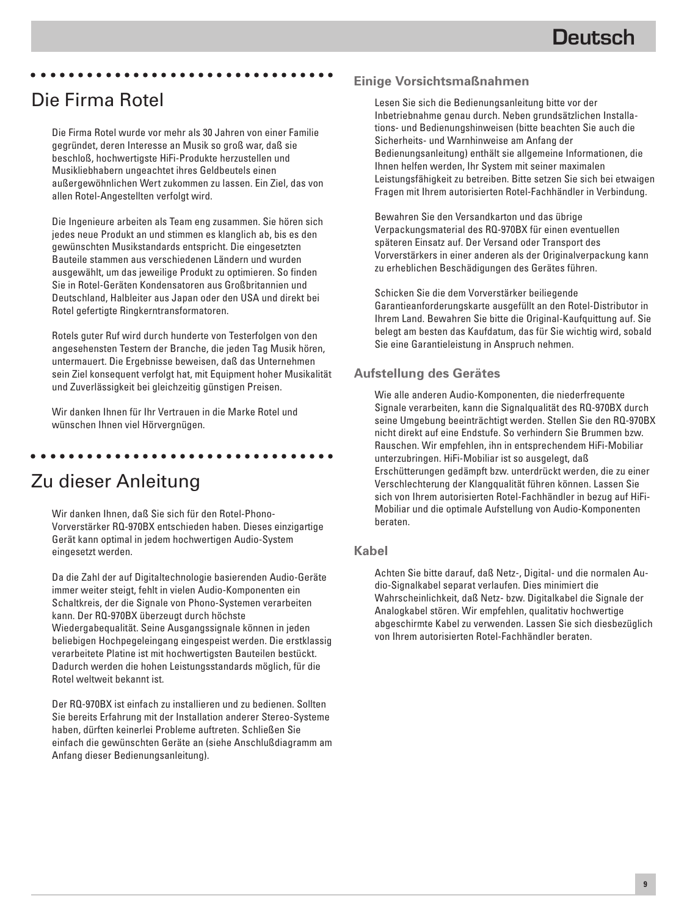### Die Firma Rotel

Die Firma Rotel wurde vor mehr als 30 Jahren von einer Familie gegründet, deren Interesse an Musik so groß war, daß sie beschloß, hochwertigste HiFi-Produkte herzustellen und Musikliebhabern ungeachtet ihres Geldbeutels einen außergewöhnlichen Wert zukommen zu lassen. Ein Ziel, das von allen Rotel-Angestellten verfolgt wird.

aaaaaaaaaaaaaaaaaaaaaaaaaaaaaaaaa

Die Ingenieure arbeiten als Team eng zusammen. Sie hören sich jedes neue Produkt an und stimmen es klanglich ab, bis es den gewünschten Musikstandards entspricht. Die eingesetzten Bauteile stammen aus verschiedenen Ländern und wurden ausgewählt, um das jeweilige Produkt zu optimieren. So finden Sie in Rotel-Geräten Kondensatoren aus Großbritannien und Deutschland, Halbleiter aus Japan oder den USA und direkt bei Rotel gefertigte Ringkerntransformatoren.

Rotels guter Ruf wird durch hunderte von Testerfolgen von den angesehensten Testern der Branche, die jeden Tag Musik hören, untermauert. Die Ergebnisse beweisen, daß das Unternehmen sein Ziel konsequent verfolgt hat, mit Equipment hoher Musikalität und Zuverlässigkeit bei gleichzeitig günstigen Preisen.

Wir danken Ihnen für Ihr Vertrauen in die Marke Rotel und wünschen Ihnen viel Hörvergnügen.

aaaaaaaaaaaaaaaaaaaaaaaaaaaaaaaaa

# Zu dieser Anleitung

Wir danken Ihnen, daß Sie sich für den Rotel-Phono-Vorverstärker RQ-970BX entschieden haben. Dieses einzigartige Gerät kann optimal in jedem hochwertigen Audio-System eingesetzt werden.

Da die Zahl der auf Digitaltechnologie basierenden Audio-Geräte immer weiter steigt, fehlt in vielen Audio-Komponenten ein Schaltkreis, der die Signale von Phono-Systemen verarbeiten kann. Der RQ-970BX überzeugt durch höchste Wiedergabequalität. Seine Ausgangssignale können in jeden beliebigen Hochpegeleingang eingespeist werden. Die erstklassig verarbeitete Platine ist mit hochwertigsten Bauteilen bestückt. Dadurch werden die hohen Leistungsstandards möglich, für die Rotel weltweit bekannt ist.

Der RQ-970BX ist einfach zu installieren und zu bedienen. Sollten Sie bereits Erfahrung mit der Installation anderer Stereo-Systeme haben, dürften keinerlei Probleme auftreten. Schließen Sie einfach die gewünschten Geräte an (siehe Anschlußdiagramm am Anfang dieser Bedienungsanleitung).

### **Einige Vorsichtsmaßnahmen**

Lesen Sie sich die Bedienungsanleitung bitte vor der Inbetriebnahme genau durch. Neben grundsätzlichen Installations- und Bedienungshinweisen (bitte beachten Sie auch die Sicherheits- und Warnhinweise am Anfang der Bedienungsanleitung) enthält sie allgemeine Informationen, die Ihnen helfen werden, Ihr System mit seiner maximalen Leistungsfähigkeit zu betreiben. Bitte setzen Sie sich bei etwaigen Fragen mit Ihrem autorisierten Rotel-Fachhändler in Verbindung.

Bewahren Sie den Versandkarton und das übrige Verpackungsmaterial des RQ-970BX für einen eventuellen späteren Einsatz auf. Der Versand oder Transport des Vorverstärkers in einer anderen als der Originalverpackung kann zu erheblichen Beschädigungen des Gerätes führen.

Schicken Sie die dem Vorverstärker beiliegende Garantieanforderungskarte ausgefüllt an den Rotel-Distributor in Ihrem Land. Bewahren Sie bitte die Original-Kaufquittung auf. Sie belegt am besten das Kaufdatum, das für Sie wichtig wird, sobald Sie eine Garantieleistung in Anspruch nehmen.

#### **Aufstellung des Gerätes**

Wie alle anderen Audio-Komponenten, die niederfrequente Signale verarbeiten, kann die Signalqualität des RQ-970BX durch seine Umgebung beeinträchtigt werden. Stellen Sie den RQ-970BX nicht direkt auf eine Endstufe. So verhindern Sie Brummen bzw. Rauschen. Wir empfehlen, ihn in entsprechendem HiFi-Mobiliar unterzubringen. HiFi-Mobiliar ist so ausgelegt, daß Erschütterungen gedämpft bzw. unterdrückt werden, die zu einer Verschlechterung der Klangqualität führen können. Lassen Sie sich von Ihrem autorisierten Rotel-Fachhändler in bezug auf HiFi-Mobiliar und die optimale Aufstellung von Audio-Komponenten beraten.

#### **Kabel**

Achten Sie bitte darauf, daß Netz-, Digital- und die normalen Audio-Signalkabel separat verlaufen. Dies minimiert die Wahrscheinlichkeit, daß Netz- bzw. Digitalkabel die Signale der Analogkabel stören. Wir empfehlen, qualitativ hochwertige abgeschirmte Kabel zu verwenden. Lassen Sie sich diesbezüglich von Ihrem autorisierten Rotel-Fachhändler beraten.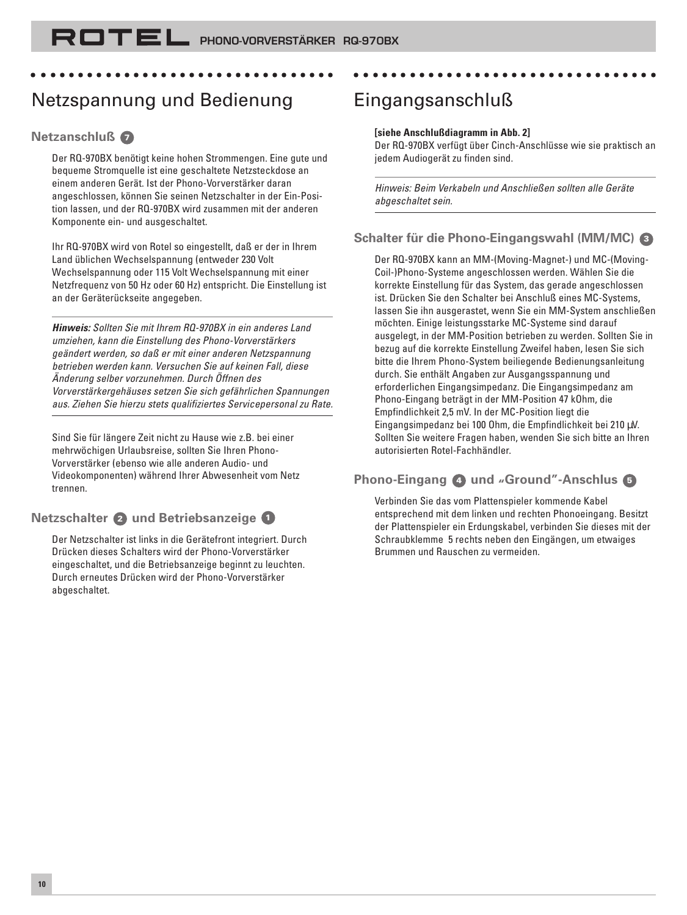# Netzspannung und Bedienung

aaaaaaaaaaaaaaaaaaaaaaaaaaaaaaaaa

#### **Netzanschluß <sup>7</sup>**

Der RQ-970BX benötigt keine hohen Strommengen. Eine gute und bequeme Stromquelle ist eine geschaltete Netzsteckdose an einem anderen Gerät. Ist der Phono-Vorverstärker daran angeschlossen, können Sie seinen Netzschalter in der Ein-Position lassen, und der RQ-970BX wird zusammen mit der anderen Komponente ein- und ausgeschaltet.

Ihr RQ-970BX wird von Rotel so eingestellt, daß er der in Ihrem Land üblichen Wechselspannung (entweder 230 Volt Wechselspannung oder 115 Volt Wechselspannung mit einer Netzfrequenz von 50 Hz oder 60 Hz) entspricht. Die Einstellung ist an der Geräterückseite angegeben.

**Hinweis:** Sollten Sie mit Ihrem RQ-970BX in ein anderes Land umziehen, kann die Einstellung des Phono-Vorverstärkers geändert werden, so daß er mit einer anderen Netzspannung betrieben werden kann. Versuchen Sie auf keinen Fall, diese Änderung selber vorzunehmen. Durch Öffnen des Vorverstärkergehäuses setzen Sie sich gefährlichen Spannungen aus. Ziehen Sie hierzu stets qualifiziertes Servicepersonal zu Rate.

Sind Sie für längere Zeit nicht zu Hause wie z.B. bei einer mehrwöchigen Urlaubsreise, sollten Sie Ihren Phono-Vorverstärker (ebenso wie alle anderen Audio- und Videokomponenten) während Ihrer Abwesenheit vom Netz trennen.

### **Netzschalter 2 und Betriebsanzeige <sup>1</sup>**

Der Netzschalter ist links in die Gerätefront integriert. Durch Drücken dieses Schalters wird der Phono-Vorverstärker eingeschaltet, und die Betriebsanzeige beginnt zu leuchten. Durch erneutes Drücken wird der Phono-Vorverstärker abgeschaltet.

# Eingangsanschluß

#### **[siehe Anschlußdiagramm in Abb. 2]**

Der RQ-970BX verfügt über Cinch-Anschlüsse wie sie praktisch an jedem Audiogerät zu finden sind.

aaaaaaaaaaaaaaaaaaaaaaaaaaaaaaaaa

Hinweis: Beim Verkabeln und Anschließen sollten alle Geräte abgeschaltet sein.

### **Schalter für die Phono-Eingangswahl (MM/MC) <sup>3</sup>**

Der RQ-970BX kann an MM-(Moving-Magnet-) und MC-(Moving-Coil-)Phono-Systeme angeschlossen werden. Wählen Sie die korrekte Einstellung für das System, das gerade angeschlossen ist. Drücken Sie den Schalter bei Anschluß eines MC-Systems, lassen Sie ihn ausgerastet, wenn Sie ein MM-System anschließen möchten. Einige leistungsstarke MC-Systeme sind darauf ausgelegt, in der MM-Position betrieben zu werden. Sollten Sie in bezug auf die korrekte Einstellung Zweifel haben, lesen Sie sich bitte die Ihrem Phono-System beiliegende Bedienungsanleitung durch. Sie enthält Angaben zur Ausgangsspannung und erforderlichen Eingangsimpedanz. Die Eingangsimpedanz am Phono-Eingang beträgt in der MM-Position 47 kOhm, die Empfindlichkeit 2,5 mV. In der MC-Position liegt die Eingangsimpedanz bei 100 Ohm, die Empfindlichkeit bei 210 µV. Sollten Sie weitere Fragen haben, wenden Sie sich bitte an Ihren autorisierten Rotel-Fachhändler.

### **Phono-Eingang 4 und "Ground"-Anschlus <sup>5</sup>**

Verbinden Sie das vom Plattenspieler kommende Kabel entsprechend mit dem linken und rechten Phonoeingang. Besitzt der Plattenspieler ein Erdungskabel, verbinden Sie dieses mit der Schraubklemme 5 rechts neben den Eingängen, um etwaiges Brummen und Rauschen zu vermeiden.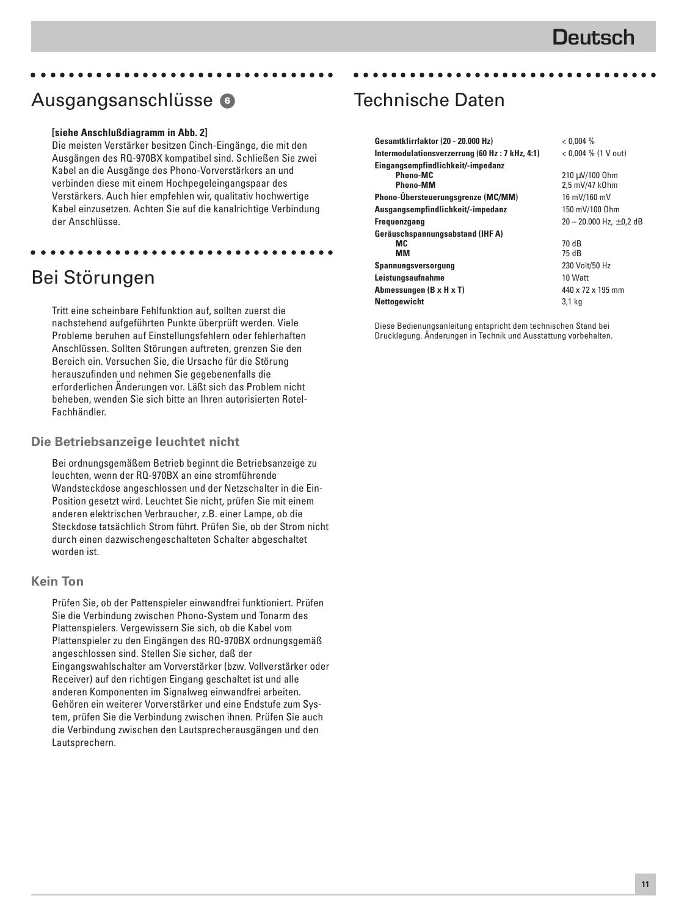### Ausgangsanschlüsse **<sup>6</sup>**

#### **[siehe Anschlußdiagramm in Abb. 2]**

Die meisten Verstärker besitzen Cinch-Eingänge, die mit den Ausgängen des RQ-970BX kompatibel sind. Schließen Sie zwei Kabel an die Ausgänge des Phono-Vorverstärkers an und verbinden diese mit einem Hochpegeleingangspaar des Verstärkers. Auch hier empfehlen wir, qualitativ hochwertige Kabel einzusetzen. Achten Sie auf die kanalrichtige Verbindung der Anschlüsse.

aaaaaaaaaaaaaaaaaaaaaaaaaaaaaaaaa

aaaaaaaaaaaaaaaaaaaaaaaaaaaaaaaaa

# Bei Störungen

Tritt eine scheinbare Fehlfunktion auf, sollten zuerst die nachstehend aufgeführten Punkte überprüft werden. Viele Probleme beruhen auf Einstellungsfehlern oder fehlerhaften Anschlüssen. Sollten Störungen auftreten, grenzen Sie den Bereich ein. Versuchen Sie, die Ursache für die Störung herauszufinden und nehmen Sie gegebenenfalls die erforderlichen Änderungen vor. Läßt sich das Problem nicht beheben, wenden Sie sich bitte an Ihren autorisierten Rotel-Fachhändler.

#### **Die Betriebsanzeige leuchtet nicht**

Bei ordnungsgemäßem Betrieb beginnt die Betriebsanzeige zu leuchten, wenn der RQ-970BX an eine stromführende Wandsteckdose angeschlossen und der Netzschalter in die Ein-Position gesetzt wird. Leuchtet Sie nicht, prüfen Sie mit einem anderen elektrischen Verbraucher, z.B. einer Lampe, ob die Steckdose tatsächlich Strom führt. Prüfen Sie, ob der Strom nicht durch einen dazwischengeschalteten Schalter abgeschaltet worden ist.

#### **Kein Ton**

Prüfen Sie, ob der Pattenspieler einwandfrei funktioniert. Prüfen Sie die Verbindung zwischen Phono-System und Tonarm des Plattenspielers. Vergewissern Sie sich, ob die Kabel vom Plattenspieler zu den Eingängen des RQ-970BX ordnungsgemäß angeschlossen sind. Stellen Sie sicher, daß der Eingangswahlschalter am Vorverstärker (bzw. Vollverstärker oder Receiver) auf den richtigen Eingang geschaltet ist und alle anderen Komponenten im Signalweg einwandfrei arbeiten. Gehören ein weiterer Vorverstärker und eine Endstufe zum System, prüfen Sie die Verbindung zwischen ihnen. Prüfen Sie auch die Verbindung zwischen den Lautsprecherausgängen und den Lautsprechern.

### Technische Daten

| Gesamtklirrfaktor (20 - 20.000 Hz)             | < 0.004 %                    |
|------------------------------------------------|------------------------------|
| Intermodulationsverzerrung (60 Hz: 7 kHz, 4:1) | $< 0.004$ % (1 V out)        |
| Eingangsempfindlichkeit/-impedanz              |                              |
| Phono-MC                                       | 210 µV/100 0hm               |
| Phono-MM                                       | 2,5 mV/47 k0hm               |
| Phono-Übersteuerungsgrenze (MC/MM)             | 16 mV/160 mV                 |
| Ausgangsempfindlichkeit/-impedanz              | 150 mV/100 0hm               |
| <b>Frequenzgang</b>                            | 20 - 20.000 Hz, $\pm$ 0,2 dB |
| Geräuschspannungsabstand (IHF A)               |                              |
| МC                                             | 70 dB                        |
| ΜМ                                             | 75 dB                        |
| Spannungsversorgung                            | 230 Volt/50 Hz               |
| Leistungsaufnahme                              | 10 Watt                      |
| Abmessungen (B x H x T)                        | 440 x 72 x 195 mm            |
| <b>Nettogewicht</b>                            | 3,1 kg                       |

aaaaaaaaaaaaaaaaaaaaaaaaaaaaaaaaa

Diese Bedienungsanleitung entspricht dem technischen Stand bei Drucklegung. Änderungen in Technik und Ausstattung vorbehalten.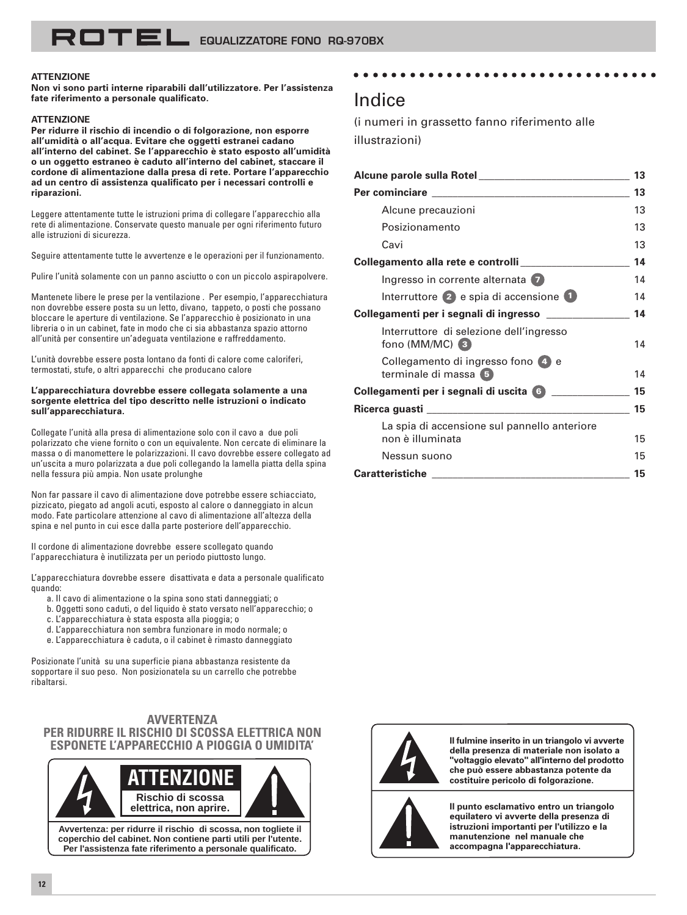#### **ATTENZIONE**

**Non vi sono parti interne riparabili dall'utilizzatore. Per l'assistenza fate riferimento a personale qualificato.**

#### **ATTENZIONE**

**Per ridurre il rischio di incendio o di folgorazione, non esporre all'umidità o all'acqua. Evitare che oggetti estranei cadano all'interno del cabinet. Se l'apparecchio è stato esposto all'umidità o un oggetto estraneo è caduto all'interno del cabinet, staccare il cordone di alimentazione dalla presa di rete. Portare l'apparecchio ad un centro di assistenza qualificato per i necessari controlli e riparazioni.**

Leggere attentamente tutte le istruzioni prima di collegare l'apparecchio alla rete di alimentazione. Conservate questo manuale per ogni riferimento futuro alle istruzioni di sicurezza.

Seguire attentamente tutte le avvertenze e le operazioni per il funzionamento.

Pulire l'unità solamente con un panno asciutto o con un piccolo aspirapolvere.

Mantenete libere le prese per la ventilazione . Per esempio, l'apparecchiatura non dovrebbe essere posta su un letto, divano, tappeto, o posti che possano bloccare le aperture di ventilazione. Se l'apparecchio è posizionato in una libreria o in un cabinet, fate in modo che ci sia abbastanza spazio attorno all'unità per consentire un'adeguata ventilazione e raffreddamento.

L'unità dovrebbe essere posta lontano da fonti di calore come caloriferi, termostati, stufe, o altri apparecchi che producano calore

#### **L'apparecchiatura dovrebbe essere collegata solamente a una sorgente elettrica del tipo descritto nelle istruzioni o indicato sull'apparecchiatura.**

Collegate l'unità alla presa di alimentazione solo con il cavo a due poli polarizzato che viene fornito o con un equivalente. Non cercate di eliminare la massa o di manomettere le polarizzazioni. Il cavo dovrebbe essere collegato ad un'uscita a muro polarizzata a due poli collegando la lamella piatta della spina nella fessura più ampia. Non usate prolunghe

Non far passare il cavo di alimentazione dove potrebbe essere schiacciato, pizzicato, piegato ad angoli acuti, esposto al calore o danneggiato in alcun modo. Fate particolare attenzione al cavo di alimentazione all'altezza della spina e nel punto in cui esce dalla parte posteriore dell'apparecchio.

Il cordone di alimentazione dovrebbe essere scollegato quando l'apparecchiatura è inutilizzata per un periodo piuttosto lungo.

L'apparecchiatura dovrebbe essere disattivata e data a personale qualificato quando:

- a. Il cavo di alimentazione o la spina sono stati danneggiati; o
- b. Oggetti sono caduti, o del liquido è stato versato nell'apparecchio; o
- c. L'apparecchiatura è stata esposta alla pioggia; o
- d. L'apparecchiatura non sembra funzionare in modo normale; o
- e. L'apparecchiatura è caduta, o il cabinet è rimasto danneggiato

Posizionate l'unità su una superficie piana abbastanza resistente da sopportare il suo peso. Non posizionatela su un carrello che potrebbe ribaltarsi.

#### **AVVERTENZA PER RIDURRE IL RISCHIO DI SCOSSA ELETTRICA NON ESPONETE L'APPARECCHIO A PIOGGIA O UMIDITA'**



**Avvertenza: per ridurre il rischio di scossa, non togliete il coperchio del cabinet. Non contiene parti utili per l'utente. Per l'assistenza fate riferimento a personale qualificato.**

#### aaaaaaaaaaaaaaaaaaaaaaaaaaaaaaaaa

### Indice

(i numeri in grassetto fanno riferimento alle illustrazioni)

|                                                                  | 13 |
|------------------------------------------------------------------|----|
|                                                                  | 13 |
| Alcune precauzioni                                               | 13 |
| Posizionamento                                                   | 13 |
| Cavi                                                             | 13 |
| Collegamento alla rete e controlli                               | 14 |
| Ingresso in corrente alternata 7                                 | 14 |
| Interruttore $(2)$ e spia di accensione $(1)$                    | 14 |
| Collegamenti per i segnali di ingresso _____________             | 14 |
| Interruttore di selezione dell'ingresso<br>fono (MM/MC) (3)      | 14 |
| Collegamento di ingresso fono 4 e<br>terminale di massa 5        | 14 |
|                                                                  | 15 |
|                                                                  | 15 |
| La spia di accensione sul pannello anteriore<br>non è illuminata | 15 |
| Nessun suono                                                     | 15 |
| <b>Caratteristiche Caracteristiche</b>                           | 15 |



**Il fulmine inserito in un triangolo vi avverte della presenza di materiale non isolato a "voltaggio elevato" all'interno del prodotto che può essere abbastanza potente da costituire pericolo di folgorazione.**



**Il punto esclamativo entro un triangolo equilatero vi avverte della presenza di istruzioni importanti per l'utilizzo e la manutenzione nel manuale che accompagna l'apparecchiatura.**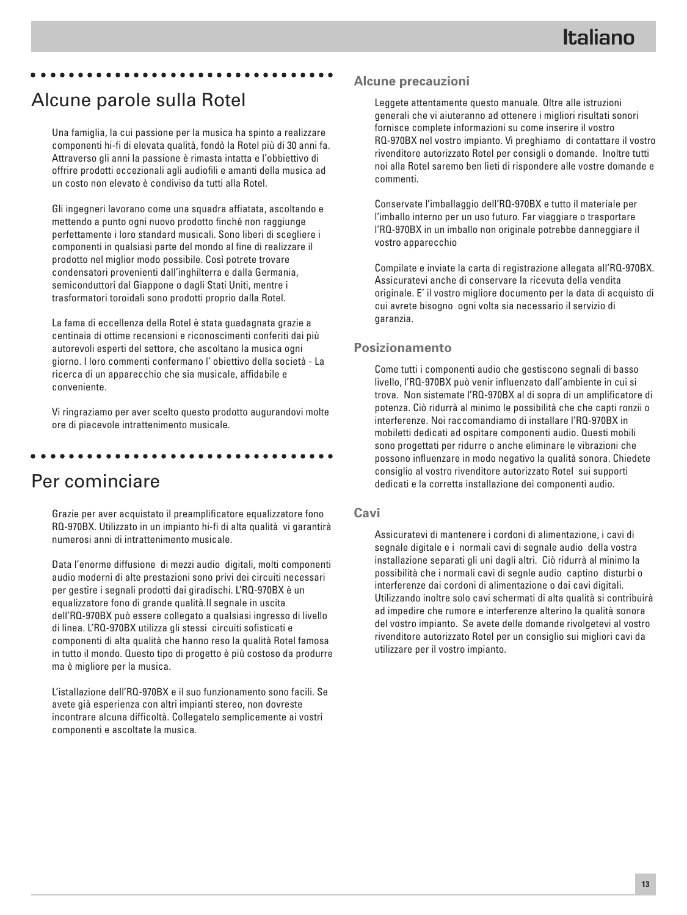#### aaaaaaaaaaaaaaaaaaaaaaaaaaaaaaaaa

### Alcune parole sulla Rotel

Una famiglia, la cui passione per la musica ha spinto a realizzare componenti hi-fi di elevata qualità, fondò la Rotel più di 30 anni fa. Attraverso gli anni la passione è rimasta intatta e l'obbiettivo di offrire prodotti eccezionali agli audiofili e amanti della musica ad un costo non elevato è condiviso da tutti alla Rotel.

Gli ingegneri lavorano come una squadra affiatata, ascoltando e mettendo a punto ogni nuovo prodotto finché non raggiunge perfettamente i loro standard musicali. Sono liberi di scegliere i componenti in qualsiasi parte del mondo al fine di realizzare il prodotto nel miglior modo possibile. Così potrete trovare condensatori provenienti dall'inghilterra e dalla Germania, semiconduttori dal Giappone o dagli Stati Uniti, mentre i trasformatori toroidali sono prodotti proprio dalla Rotel.

La fama di eccellenza della Rotel è stata guadagnata grazie a centinaia di ottime recensioni e riconoscimenti conferiti dai più autorevoli esperti del settore, che ascoltano la musica ogni giorno. I loro commenti confermano l' obiettivo della società - La ricerca di un apparecchio che sia musicale, affidabile e conveniente.

Vi ringraziamo per aver scelto questo prodotto augurandovi molte ore di piacevole intrattenimento musicale.

aaaaaaaaaaaaaaaaaaaaaaaaaaaaaaaaa

### Per cominciare

Grazie per aver acquistato il preamplificatore equalizzatore fono RQ-970BX. Utilizzato in un impianto hi-fi di alta qualità vi garantirà numerosi anni di intrattenimento musicale.

Data l'enorme diffusione di mezzi audio digitali, molti componenti audio moderni di alte prestazioni sono privi dei circuiti necessari per gestire i segnali prodotti dai giradischi. L'RQ-970BX è un equalizzatore fono di grande qualità.Il segnale in uscita dell'RQ-970BX può essere collegato a qualsiasi ingresso di livello di linea. L'RQ-970BX utilizza gli stessi circuiti sofisticati e componenti di alta qualità che hanno reso la qualità Rotel famosa in tutto il mondo. Questo tipo di progetto è più costoso da produrre ma è migliore per la musica.

L'istallazione dell'RQ-970BX e il suo funzionamento sono facili. Se avete già esperienza con altri impianti stereo, non dovreste incontrare alcuna difficoltà. Collegatelo semplicemente ai vostri componenti e ascoltate la musica.

#### **Alcune precauzioni**

Leggete attentamente questo manuale. Oltre alle istruzioni generali che vi aiuteranno ad ottenere i migliori risultati sonori fornisce complete informazioni su come inserire il vostro RQ-970BX nel vostro impianto. Vi preghiamo di contattare il vostro rivenditore autorizzato Rotel per consigli o domande. Inoltre tutti noi alla Rotel saremo ben lieti di rispondere alle vostre domande e commenti.

Conservate l'imballaggio dell'RQ-970BX e tutto il materiale per l'imballo interno per un uso futuro. Far viaggiare o trasportare l'RQ-970BX in un imballo non originale potrebbe danneggiare il vostro apparecchio

Compilate e inviate la carta di registrazione allegata all'RQ-970BX. Assicuratevi anche di conservare la ricevuta della vendita originale. E' il vostro migliore documento per la data di acquisto di cui avrete bisogno ogni volta sia necessario il servizio di garanzia.

#### **Posizionamento**

Come tutti i componenti audio che gestiscono segnali di basso livello, l'RQ-970BX può venir influenzato dall'ambiente in cui si trova. Non sistemate l'RQ-970BX al di sopra di un amplificatore di potenza. Ciò ridurrà al minimo le possibilità che che capti ronzii o interferenze. Noi raccomandiamo di installare l'RQ-970BX in mobiletti dedicati ad ospitare componenti audio. Questi mobili sono progettati per ridurre o anche eliminare le vibrazioni che possono influenzare in modo negativo la qualità sonora. Chiedete consiglio al vostro rivenditore autorizzato Rotel sui supporti dedicati e la corretta installazione dei componenti audio.

#### **Cavi**

Assicuratevi di mantenere i cordoni di alimentazione, i cavi di segnale digitale e i normali cavi di segnale audio della vostra installazione separati gli uni dagli altri. Ciò ridurrà al minimo la possibilità che i normali cavi di segnle audio captino disturbi o interferenze dai cordoni di alimentazione o dai cavi digitali. Utilizzando inoltre solo cavi schermati di alta qualità si contribuirà ad impedire che rumore e interferenze alterino la qualità sonora del vostro impianto. Se avete delle domande rivolgetevi al vostro rivenditore autorizzato Rotel per un consiglio sui migliori cavi da utilizzare per il vostro impianto.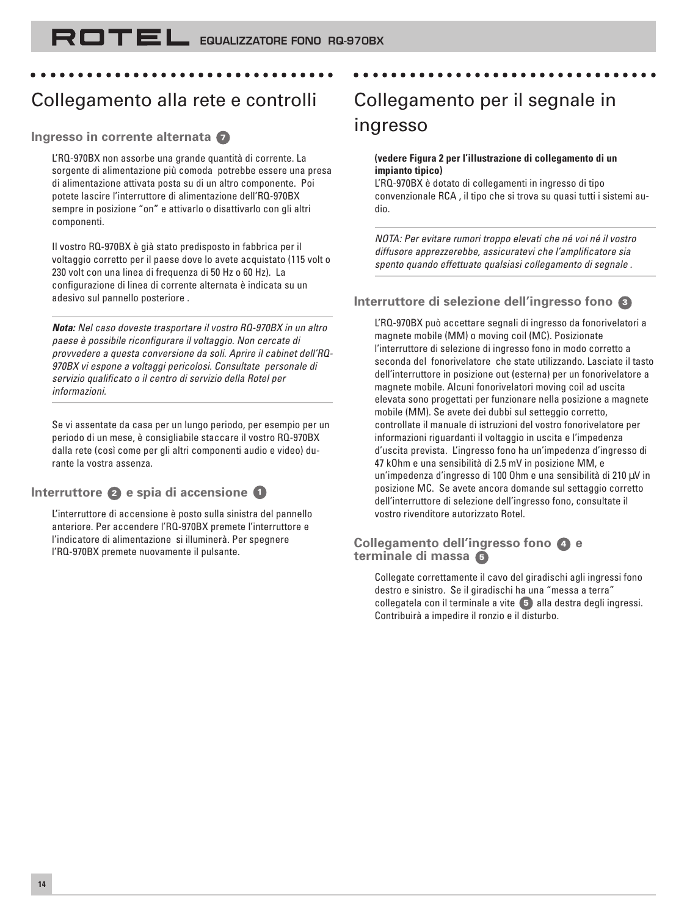# Collegamento alla rete e controlli

aaaaaaaaaaaaaaaaaaaaaaaaaaaaaaaaa

#### **Ingresso in corrente alternata <sup>7</sup>**

L'RQ-970BX non assorbe una grande quantità di corrente. La sorgente di alimentazione più comoda potrebbe essere una presa di alimentazione attivata posta su di un altro componente. Poi potete lascire l'interruttore di alimentazione dell'RQ-970BX sempre in posizione "on" e attivarlo o disattivarlo con gli altri componenti.

Il vostro RQ-970BX è già stato predisposto in fabbrica per il voltaggio corretto per il paese dove lo avete acquistato (115 volt o 230 volt con una linea di frequenza di 50 Hz o 60 Hz). La configurazione di linea di corrente alternata è indicata su un adesivo sul pannello posteriore .

**Nota:** Nel caso doveste trasportare il vostro RQ-970BX in un altro paese è possibile riconfigurare il voltaggio. Non cercate di provvedere a questa conversione da soli. Aprire il cabinet dell'RQ-970BX vi espone a voltaggi pericolosi. Consultate personale di servizio qualificato o il centro di servizio della Rotel per informazioni.

Se vi assentate da casa per un lungo periodo, per esempio per un periodo di un mese, è consigliabile staccare il vostro RQ-970BX dalla rete (così come per gli altri componenti audio e video) durante la vostra assenza.

#### **Interruttore 2 e spia di accensione <sup>1</sup>**

L'interruttore di accensione è posto sulla sinistra del pannello anteriore. Per accendere l'RQ-970BX premete l'interruttore e l'indicatore di alimentazione si illuminerà. Per spegnere l'RQ-970BX premete nuovamente il pulsante.

# Collegamento per il segnale in ingresso

aaaaaaaaaaaaaaaaaaaaaaaaaaaaaaaaa

#### **(vedere Figura 2 per l'illustrazione di collegamento di un impianto tipico)**

L'RQ-970BX è dotato di collegamenti in ingresso di tipo convenzionale RCA , il tipo che si trova su quasi tutti i sistemi audio.

NOTA: Per evitare rumori troppo elevati che né voi né il vostro diffusore apprezzerebbe, assicuratevi che l'amplificatore sia spento quando effettuate qualsiasi collegamento di segnale .

### **Interruttore di selezione dell'ingresso fono <sup>3</sup>**

L'RQ-970BX può accettare segnali di ingresso da fonorivelatori a magnete mobile (MM) o moving coil (MC). Posizionate l'interruttore di selezione di ingresso fono in modo corretto a seconda del fonorivelatore che state utilizzando. Lasciate il tasto dell'interruttore in posizione out (esterna) per un fonorivelatore a magnete mobile. Alcuni fonorivelatori moving coil ad uscita elevata sono progettati per funzionare nella posizione a magnete mobile (MM). Se avete dei dubbi sul setteggio corretto, controllate il manuale di istruzioni del vostro fonorivelatore per informazioni riguardanti il voltaggio in uscita e l'impedenza d'uscita prevista. L'ingresso fono ha un'impedenza d'ingresso di 47 kOhm e una sensibilità di 2.5 mV in posizione MM, e un'impedenza d'ingresso di 100 Ohm e una sensibilità di 210 µV in posizione MC. Se avete ancora domande sul settaggio corretto dell'interruttore di selezione dell'ingresso fono, consultate il vostro rivenditore autorizzato Rotel.

#### **Collegamento dell'ingresso fono 4 e terminale di massa <sup>5</sup>**

Collegate correttamente il cavo del giradischi agli ingressi fono destro e sinistro. Se il giradischi ha una "messa a terra" collegatela con il terminale a vite **5** alla destra degli ingressi. Contribuirà a impedire il ronzio e il disturbo.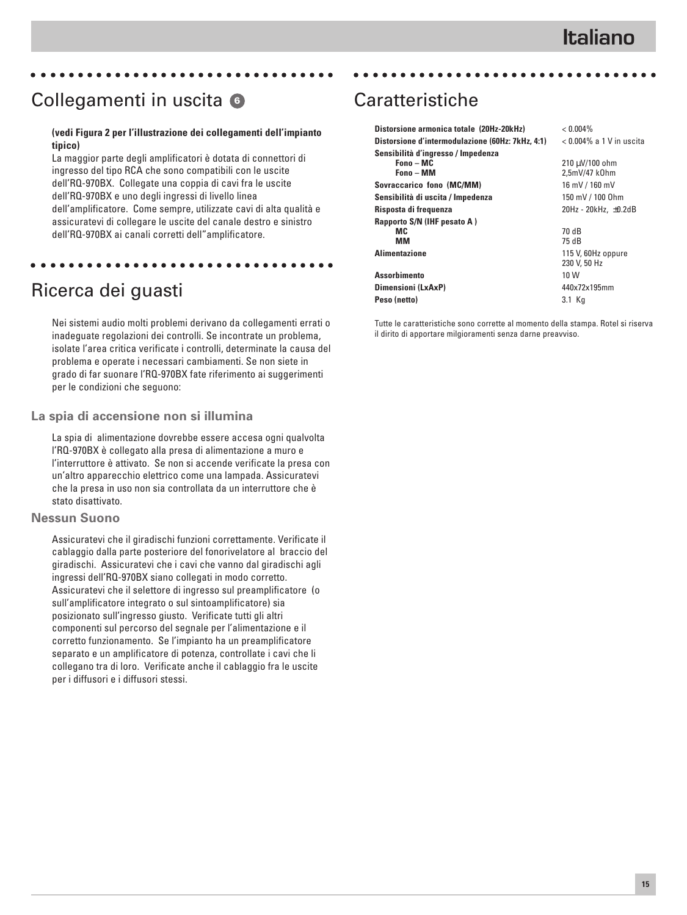# Collegamenti in uscita **<sup>6</sup>**

#### **(vedi Figura 2 per l'illustrazione dei collegamenti dell'impianto tipico)**

aaaaaaaaaaaaaaaaaaaaaaaaaaaaaaaaa

La maggior parte degli amplificatori è dotata di connettori di ingresso del tipo RCA che sono compatibili con le uscite dell'RQ-970BX. Collegate una coppia di cavi fra le uscite dell'RQ-970BX e uno degli ingressi di livello linea dell'amplificatore. Come sempre, utilizzate cavi di alta qualità e assicuratevi di collegare le uscite del canale destro e sinistro dell'RQ-970BX ai canali corretti dell"amplificatore.

aaaaaaaaaaaaaaaaaaaaaaaaaaaaaaaaa

### Ricerca dei guasti

Nei sistemi audio molti problemi derivano da collegamenti errati o inadeguate regolazioni dei controlli. Se incontrate un problema, isolate l'area critica verificate i controlli, determinate la causa del problema e operate i necessari cambiamenti. Se non siete in grado di far suonare l'RQ-970BX fate riferimento ai suggerimenti per le condizioni che seguono:

#### **La spia di accensione non si illumina**

La spia di alimentazione dovrebbe essere accesa ogni qualvolta l'RQ-970BX è collegato alla presa di alimentazione a muro e l'interruttore è attivato. Se non si accende verificate la presa con un'altro apparecchio elettrico come una lampada. Assicuratevi che la presa in uso non sia controllata da un interruttore che è stato disattivato.

#### **Nessun Suono**

Assicuratevi che il giradischi funzioni correttamente. Verificate il cablaggio dalla parte posteriore del fonorivelatore al braccio del giradischi. Assicuratevi che i cavi che vanno dal giradischi agli ingressi dell'RQ-970BX siano collegati in modo corretto. Assicuratevi che il selettore di ingresso sul preamplificatore (o sull'amplificatore integrato o sul sintoamplificatore) sia posizionato sull'ingresso giusto. Verificate tutti gli altri componenti sul percorso del segnale per l'alimentazione e il corretto funzionamento. Se l'impianto ha un preamplificatore separato e un amplificatore di potenza, controllate i cavi che li collegano tra di loro. Verificate anche il cablaggio fra le uscite per i diffusori e i diffusori stessi.

# Caratteristiche

| Distorsione armonica totale (20Hz-20kHz)         | $< 0.004\%$                 |
|--------------------------------------------------|-----------------------------|
| Distorsione d'intermodulazione (60Hz: 7kHz, 4:1) | $< 0.004\%$ a 1 V in uscita |
| Sensibilità d'ingresso / Impedenza               |                             |
| Fono - MC                                        | 210 µV/100 ohm              |
| Fono - MM                                        | 2.5mV/47 k0hm               |
| Sovraccarico fono (MC/MM)                        | 16 mV / 160 mV              |
| Sensibilità di uscita / Impedenza                | 150 mV / 100 0hm            |
| Risposta di frequenza                            | 20Hz - 20kHz, ±0.2dB        |
| Rapporto S/N (IHF pesato A)                      |                             |
| MC.                                              | 70 dB                       |
| ΜМ                                               | 75 dB                       |
| <b>Alimentazione</b>                             | 115 V, 60Hz oppure          |
|                                                  | 230 V, 50 Hz                |
| <b>Assorbimento</b>                              | 10 W                        |
| Dimensioni (LxAxP)                               | 440x72x195mm                |
| Peso (netto)                                     | 3.1 Kg                      |
|                                                  |                             |

aaaaaaaaaaaaaaaaaaaaaaaaaaaaaaaaa

Tutte le caratteristiche sono corrette al momento della stampa. Rotel si riserva il dirito di apportare milgioramenti senza darne preavviso.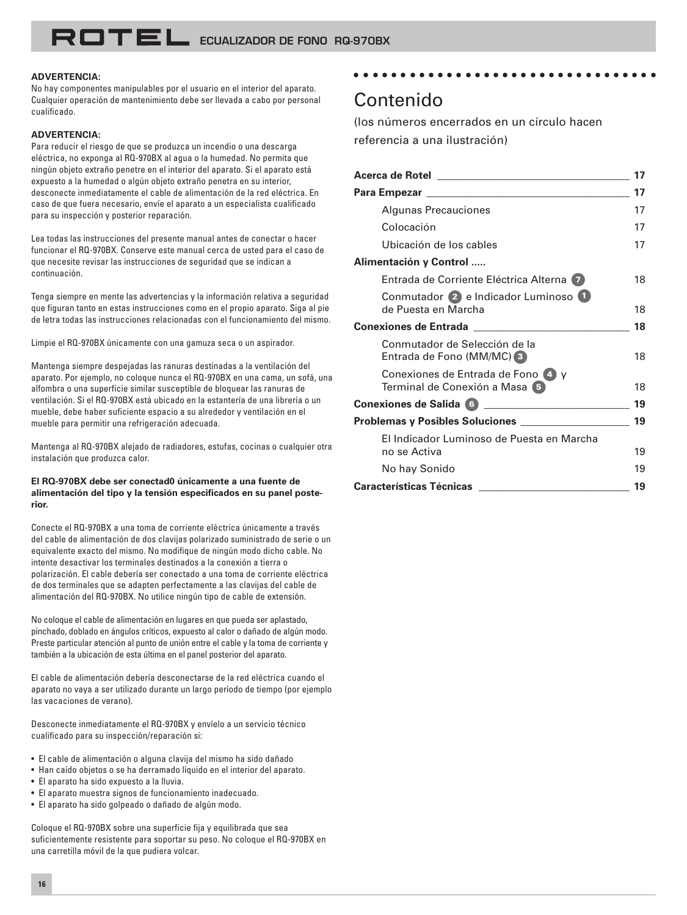#### **ADVERTENCIA:**

No hay componentes manipulables por el usuario en el interior del aparato. Cualquier operación de mantenimiento debe ser llevada a cabo por personal cualificado.

#### **ADVERTENCIA:**

Para reducir el riesgo de que se produzca un incendio o una descarga eléctrica, no exponga al RQ-970BX al agua o la humedad. No permita que ningún objeto extraño penetre en el interior del aparato. Si el aparato está expuesto a la humedad o algún objeto extraño penetra en su interior, desconecte inmediatamente el cable de alimentación de la red eléctrica. En caso de que fuera necesario, envíe el aparato a un especialista cualificado para su inspección y posterior reparación.

Lea todas las instrucciones del presente manual antes de conectar o hacer funcionar el RQ-970BX. Conserve este manual cerca de usted para el caso de que necesite revisar las instrucciones de seguridad que se indican a continuación.

Tenga siempre en mente las advertencias y la información relativa a seguridad que figuran tanto en estas instrucciones como en el propio aparato. Siga al pie de letra todas las instrucciones relacionadas con el funcionamiento del mismo.

Limpie el RQ-970BX únicamente con una gamuza seca o un aspirador.

Mantenga siempre despejadas las ranuras destinadas a la ventilación del aparato. Por ejemplo, no coloque nunca el RQ-970BX en una cama, un sofá, una alfombra o una superficie similar susceptible de bloquear las ranuras de ventilación. Si el RQ-970BX está ubicado en la estantería de una librería o un mueble, debe haber suficiente espacio a su alrededor y ventilación en el mueble para permitir una refrigeración adecuada.

Mantenga al RQ-970BX alejado de radiadores, estufas, cocinas o cualquier otra instalación que produzca calor.

#### **El RQ-970BX debe ser conectad0 únicamente a una fuente de alimentación del tipo y la tensión especificados en su panel posterior.**

Conecte el RQ-970BX a una toma de corriente eléctrica únicamente a través del cable de alimentación de dos clavijas polarizado suministrado de serie o un equivalente exacto del mismo. No modifique de ningún modo dicho cable. No intente desactivar los terminales destinados a la conexión a tierra o polarización. El cable debería ser conectado a una toma de corriente eléctrica de dos terminales que se adapten perfectamente a las clavijas del cable de alimentación del RQ-970BX. No utilice ningún tipo de cable de extensión.

No coloque el cable de alimentación en lugares en que pueda ser aplastado, pinchado, doblado en ángulos críticos, expuesto al calor o dañado de algún modo. Preste particular atención al punto de unión entre el cable y la toma de corriente y también a la ubicación de esta última en el panel posterior del aparato.

El cable de alimentación debería desconectarse de la red eléctrica cuando el aparato no vaya a ser utilizado durante un largo período de tiempo (por ejemplo las vacaciones de verano).

Desconecte inmediatamente el RQ-970BX y envíelo a un servicio técnico cualificado para su inspección/reparación si:

• El cable de alimentación o alguna clavija del mismo ha sido dañado

- Han caído objetos o se ha derramado líquido en el interior del aparato.
- El aparato ha sido expuesto a la lluvia.
- El aparato muestra signos de funcionamiento inadecuado.
- El aparato ha sido golpeado o dañado de algún modo.

Coloque el RQ-970BX sobre una superficie fija y equilibrada que sea suficientemente resistente para soportar su peso. No coloque el RQ-970BX en una carretilla móvil de la que pudiera volcar.

### Contenido

(los números encerrados en un círculo hacen referencia a una ilustración)

aaaaaaaaaaaaaaaaaaaaaaaaaaaaaaaaa

|                                                                    | 17 |
|--------------------------------------------------------------------|----|
|                                                                    | 17 |
| Algunas Precauciones                                               | 17 |
| Colocación                                                         | 17 |
| Ubicación de los cables                                            | 17 |
| Alimentación y Control                                             |    |
| Entrada de Corriente Eléctrica Alterna (7)                         | 18 |
| Conmutador 2 e Indicador Luminoso 1<br>de Puesta en Marcha         | 18 |
|                                                                    | 18 |
| Conmutador de Selección de la<br>Entrada de Fono (MM/MC) 3         | 18 |
| Conexiones de Entrada de Fono 4 y<br>Terminal de Conexión a Masa 5 | 18 |
|                                                                    | 19 |
|                                                                    | 19 |
| El Indicador Luminoso de Puesta en Marcha<br>no se Activa          | 19 |
| No hay Sonido                                                      | 19 |
| <b>Características Técnicas</b>                                    | 19 |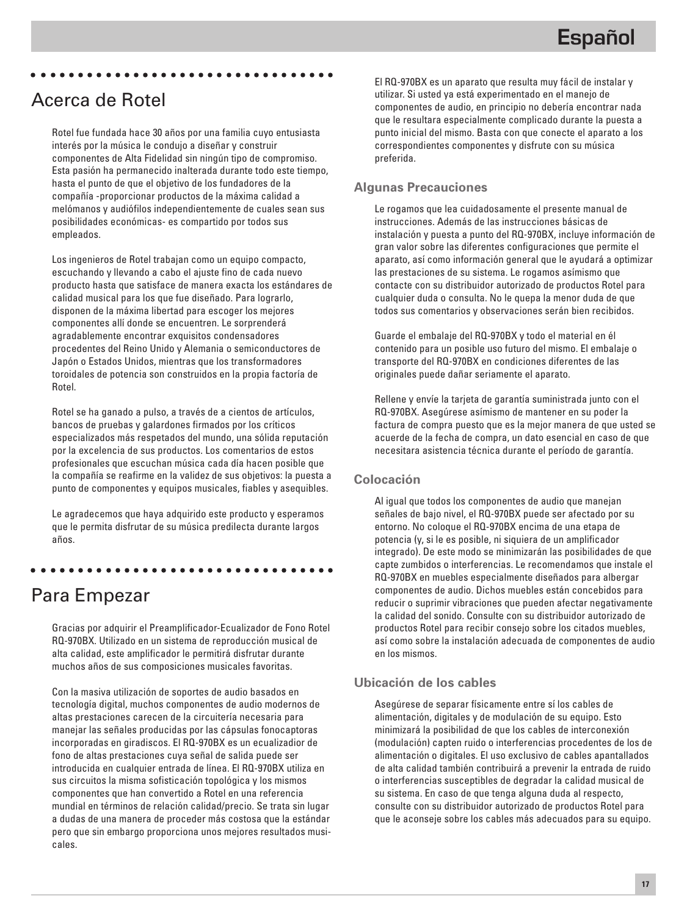### Acerca de Rotel

Rotel fue fundada hace 30 años por una familia cuyo entusiasta interés por la música le condujo a diseñar y construir componentes de Alta Fidelidad sin ningún tipo de compromiso. Esta pasión ha permanecido inalterada durante todo este tiempo, hasta el punto de que el objetivo de los fundadores de la compañía -proporcionar productos de la máxima calidad a melómanos y audiófilos independientemente de cuales sean sus posibilidades económicas- es compartido por todos sus empleados.

aaaaaaaaaaaaaaaaaaaaaaaaaaaaaaaaa

Los ingenieros de Rotel trabajan como un equipo compacto, escuchando y llevando a cabo el ajuste fino de cada nuevo producto hasta que satisface de manera exacta los estándares de calidad musical para los que fue diseñado. Para lograrlo, disponen de la máxima libertad para escoger los mejores componentes allí donde se encuentren. Le sorprenderá agradablemente encontrar exquisitos condensadores procedentes del Reino Unido y Alemania o semiconductores de Japón o Estados Unidos, mientras que los transformadores toroidales de potencia son construidos en la propia factoría de Rotel.

Rotel se ha ganado a pulso, a través de a cientos de artículos, bancos de pruebas y galardones firmados por los críticos especializados más respetados del mundo, una sólida reputación por la excelencia de sus productos. Los comentarios de estos profesionales que escuchan música cada día hacen posible que la compañía se reafirme en la validez de sus objetivos: la puesta a punto de componentes y equipos musicales, fiables y asequibles.

Le agradecemos que haya adquirido este producto y esperamos que le permita disfrutar de su música predilecta durante largos años.

aaaaaaaaaaaaaaaaaaaaaaaaaaaaaaaaa

### Para Empezar

Gracias por adquirir el Preamplificador-Ecualizador de Fono Rotel RQ-970BX. Utilizado en un sistema de reproducción musical de alta calidad, este amplificador le permitirá disfrutar durante muchos años de sus composiciones musicales favoritas.

Con la masiva utilización de soportes de audio basados en tecnología digital, muchos componentes de audio modernos de altas prestaciones carecen de la circuitería necesaria para manejar las señales producidas por las cápsulas fonocaptoras incorporadas en giradiscos. El RQ-970BX es un ecualizadior de fono de altas prestaciones cuya señal de salida puede ser introducida en cualquier entrada de línea. El RQ-970BX utiliza en sus circuitos la misma sofisticación topológica y los mismos componentes que han convertido a Rotel en una referencia mundial en términos de relación calidad/precio. Se trata sin lugar a dudas de una manera de proceder más costosa que la estándar pero que sin embargo proporciona unos mejores resultados musicales.

El RQ-970BX es un aparato que resulta muy fácil de instalar y utilizar. Si usted ya está experimentado en el manejo de componentes de audio, en principio no debería encontrar nada que le resultara especialmente complicado durante la puesta a punto inicial del mismo. Basta con que conecte el aparato a los correspondientes componentes y disfrute con su música preferida.

#### **Algunas Precauciones**

Le rogamos que lea cuidadosamente el presente manual de instrucciones. Además de las instrucciones básicas de instalación y puesta a punto del RQ-970BX, incluye información de gran valor sobre las diferentes configuraciones que permite el aparato, así como información general que le ayudará a optimizar las prestaciones de su sistema. Le rogamos asímismo que contacte con su distribuidor autorizado de productos Rotel para cualquier duda o consulta. No le quepa la menor duda de que todos sus comentarios y observaciones serán bien recibidos.

Guarde el embalaje del RQ-970BX y todo el material en él contenido para un posible uso futuro del mismo. El embalaje o transporte del RQ-970BX en condiciones diferentes de las originales puede dañar seriamente el aparato.

Rellene y envíe la tarjeta de garantía suministrada junto con el RQ-970BX. Asegúrese asímismo de mantener en su poder la factura de compra puesto que es la mejor manera de que usted se acuerde de la fecha de compra, un dato esencial en caso de que necesitara asistencia técnica durante el período de garantía.

#### **Colocación**

Al igual que todos los componentes de audio que manejan señales de bajo nivel, el RQ-970BX puede ser afectado por su entorno. No coloque el RQ-970BX encima de una etapa de potencia (y, si le es posible, ni siquiera de un amplificador integrado). De este modo se minimizarán las posibilidades de que capte zumbidos o interferencias. Le recomendamos que instale el RQ-970BX en muebles especialmente diseñados para albergar componentes de audio. Dichos muebles están concebidos para reducir o suprimir vibraciones que pueden afectar negativamente la calidad del sonido. Consulte con su distribuidor autorizado de productos Rotel para recibir consejo sobre los citados muebles, así como sobre la instalación adecuada de componentes de audio en los mismos.

#### **Ubicación de los cables**

Asegúrese de separar físicamente entre sí los cables de alimentación, digitales y de modulación de su equipo. Esto minimizará la posibilidad de que los cables de interconexión (modulación) capten ruido o interferencias procedentes de los de alimentación o digitales. El uso exclusivo de cables apantallados de alta calidad también contribuirá a prevenir la entrada de ruido o interferencias susceptibles de degradar la calidad musical de su sistema. En caso de que tenga alguna duda al respecto, consulte con su distribuidor autorizado de productos Rotel para que le aconseje sobre los cables más adecuados para su equipo.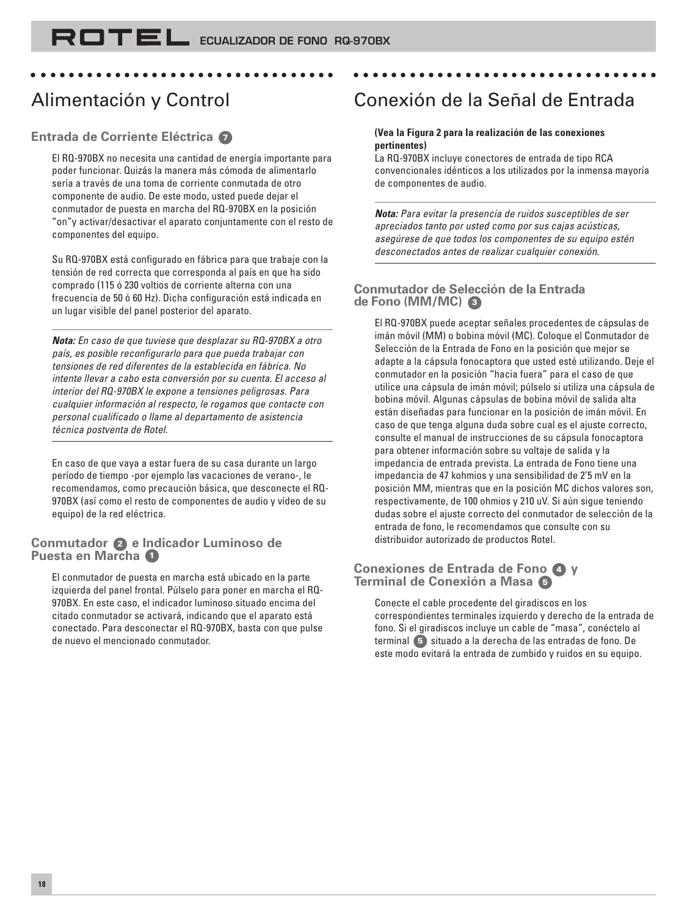# Alimentación y Control

### **Entrada de Corriente Eléctrica <sup>7</sup>**

El RQ-970BX no necesita una cantidad de energía importante para poder funcionar. Quizás la manera más cómoda de alimentarlo sería a través de una toma de corriente conmutada de otro componente de audio. De este modo, usted puede dejar el conmutador de puesta en marcha del RQ-970BX en la posición "on"y activar/desactivar el aparato conjuntamente con el resto de componentes del equipo.

aaaaaaaaaaaaaaaaaaaaaaaaaaaaaaaaa

Su RQ-970BX está configurado en fábrica para que trabaje con la tensión de red correcta que corresponda al país en que ha sido comprado (115 ó 230 voltios de corriente alterna con una frecuencia de 50 ó 60 Hz). Dicha configuración está indicada en un lugar visible del panel posterior del aparato.

**Nota:** En caso de que tuviese que desplazar su RQ-970BX a otro país, es posible reconfigurarlo para que pueda trabajar con tensiones de red diferentes de la establecida en fábrica. No intente llevar a cabo esta conversión por su cuenta. El acceso al interior del RQ-970BX le expone a tensiones peligrosas. Para cualquier información al respecto, le rogamos que contacte con personal cualificado o llame al departamento de asistencia técnica postventa de Rotel.

En caso de que vaya a estar fuera de su casa durante un largo período de tiempo -por ejemplo las vacaciones de verano-, le recomendamos, como precaución básica, que desconecte el RQ-970BX (así como el resto de componentes de audio y vídeo de su equipo) de la red eléctrica.

#### **Conmutador 2 e Indicador Luminoso de Puesta en Marcha <sup>1</sup>**

El conmutador de puesta en marcha está ubicado en la parte izquierda del panel frontal. Púlselo para poner en marcha el RQ-970BX. En este caso, el indicador luminoso situado encima del citado conmutador se activará, indicando que el aparato está conectado. Para desconectar el RQ-970BX, basta con que pulse de nuevo el mencionado conmutador.

# Conexión de la Señal de Entrada

aaaaaaaaaaaaaaaaaaaaaaaaaaaaaaaaa

#### **(Vea la Figura 2 para la realización de las conexiones pertinentes)**

La RQ-970BX incluye conectores de entrada de tipo RCA convencionales idénticos a los utilizados por la inmensa mayoría de componentes de audio.

**Nota:** Para evitar la presencia de ruidos susceptibles de ser apreciados tanto por usted como por sus cajas acústicas, asegúrese de que todos los componentes de su equipo estén desconectados antes de realizar cualquier conexión.

#### **Conmutador de Selección de la Entrada de Fono (MM/MC) <sup>3</sup>**

El RQ-970BX puede aceptar señales procedentes de cápsulas de imán móvil (MM) o bobina móvil (MC). Coloque el Conmutador de Selección de la Entrada de Fono en la posición que mejor se adapte a la cápsula fonocaptora que usted esté utilizando. Deje el conmutador en la posición "hacia fuera" para el caso de que utilice una cápsula de imán móvil; púlselo si utiliza una cápsula de bobina móvil. Algunas cápsulas de bobina móvil de salida alta están diseñadas para funcionar en la posición de imán móvil. En caso de que tenga alguna duda sobre cual es el ajuste correcto, consulte el manual de instrucciones de su cápsula fonocaptora para obtener información sobre su voltaje de salida y la impedancia de entrada prevista. La entrada de Fono tiene una impedancia de 47 kohmios y una sensibilidad de 2'5 mV en la posición MM, mientras que en la posición MC dichos valores son, respectivamente, de 100 ohmios y 210 uV. Si aún sigue teniendo dudas sobre el ajuste correcto del conmutador de selección de la entrada de fono, le recomendamos que consulte con su distribuidor autorizado de productos Rotel.

#### **Conexiones de Entrada de Fono 4 y Terminal de Conexión a Masa <sup>5</sup>**

Conecte el cable procedente del giradiscos en los correspondientes terminales izquierdo y derecho de la entrada de fono. Si el giradiscos incluye un cable de "masa", conéctelo al terminal **5** situado a la derecha de las entradas de fono. De este modo evitará la entrada de zumbido y ruidos en su equipo.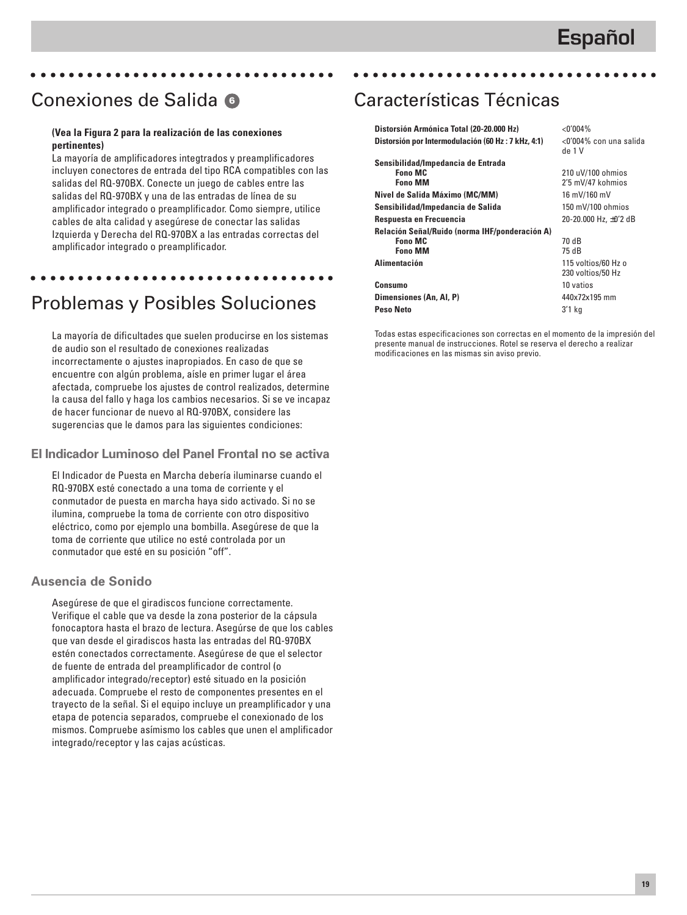# Conexiones de Salida **<sup>6</sup>**

#### **(Vea la Figura 2 para la realización de las conexiones pertinentes)**

aaaaaaaaaaaaaaaaaaaaaaaaaaaaaaaaa

La mayoría de amplificadores integtrados y preamplificadores incluyen conectores de entrada del tipo RCA compatibles con las salidas del RQ-970BX. Conecte un juego de cables entre las salidas del RQ-970BX y una de las entradas de línea de su amplificador integrado o preamplificador. Como siempre, utilice cables de alta calidad y asegúrese de conectar las salidas Izquierda y Derecha del RQ-970BX a las entradas correctas del amplificador integrado o preamplificador.

# Problemas y Posibles Soluciones

aaaaaaaaaaaaaaaaaaaaaaaaaaaaaaaaa

La mayoría de dificultades que suelen producirse en los sistemas de audio son el resultado de conexiones realizadas incorrectamente o ajustes inapropiados. En caso de que se encuentre con algún problema, aísle en primer lugar el área afectada, compruebe los ajustes de control realizados, determine la causa del fallo y haga los cambios necesarios. Si se ve incapaz de hacer funcionar de nuevo al RQ-970BX, considere las sugerencias que le damos para las siguientes condiciones:

#### **El Indicador Luminoso del Panel Frontal no se activa**

El Indicador de Puesta en Marcha debería iluminarse cuando el RQ-970BX esté conectado a una toma de corriente y el conmutador de puesta en marcha haya sido activado. Si no se ilumina, compruebe la toma de corriente con otro dispositivo eléctrico, como por ejemplo una bombilla. Asegúrese de que la toma de corriente que utilice no esté controlada por un conmutador que esté en su posición "off".

#### **Ausencia de Sonido**

Asegúrese de que el giradiscos funcione correctamente. Verifique el cable que va desde la zona posterior de la cápsula fonocaptora hasta el brazo de lectura. Asegúrse de que los cables que van desde el giradiscos hasta las entradas del RQ-970BX estén conectados correctamente. Asegúrese de que el selector de fuente de entrada del preamplificador de control (o amplificador integrado/receptor) esté situado en la posición adecuada. Compruebe el resto de componentes presentes en el trayecto de la señal. Si el equipo incluye un preamplificador y una etapa de potencia separados, compruebe el conexionado de los mismos. Compruebe asímismo los cables que unen el amplificador integrado/receptor y las cajas acústicas.

# Características Técnicas

| Distorsión Armónica Total (20-20.000 Hz)                                           | $<$ 0'004%                               |
|------------------------------------------------------------------------------------|------------------------------------------|
| Distorsión por Intermodulación (60 Hz : 7 kHz, 4:1)                                | <0'004% con una salida<br>de 1 V         |
| Sensibilidad/Impedancia de Entrada<br><b>Fono MC</b><br><b>Fono MM</b>             | 210 uV/100 ohmios<br>2'5 mV/47 kohmios   |
| Nivel de Salida Máximo (MC/MM)                                                     | 16 mV/160 mV                             |
| Sensibilidad/Impedancia de Salida                                                  | 150 mV/100 ohmios                        |
| Respuesta en Frecuencia                                                            | 20-20.000 Hz, ±0'2 dB                    |
| Relación Señal/Ruido (norma IHF/ponderación A)<br><b>Fono MC</b><br><b>Fono MM</b> | 70 dB<br>75 dB                           |
| <b>Alimentación</b>                                                                | 115 voltios/60 Hz o<br>230 voltios/50 Hz |
| Consumo                                                                            | 10 vatios                                |
| Dimensiones (An, Al, P)                                                            | 440x72x195 mm                            |
| Peso Neto                                                                          | 3'1 ka                                   |

aaaaaaaaaaaaaaaaaaaaaaaaaaaaaaaaa

Todas estas especificaciones son correctas en el momento de la impresión del presente manual de instrucciones. Rotel se reserva el derecho a realizar modificaciones en las mismas sin aviso previo.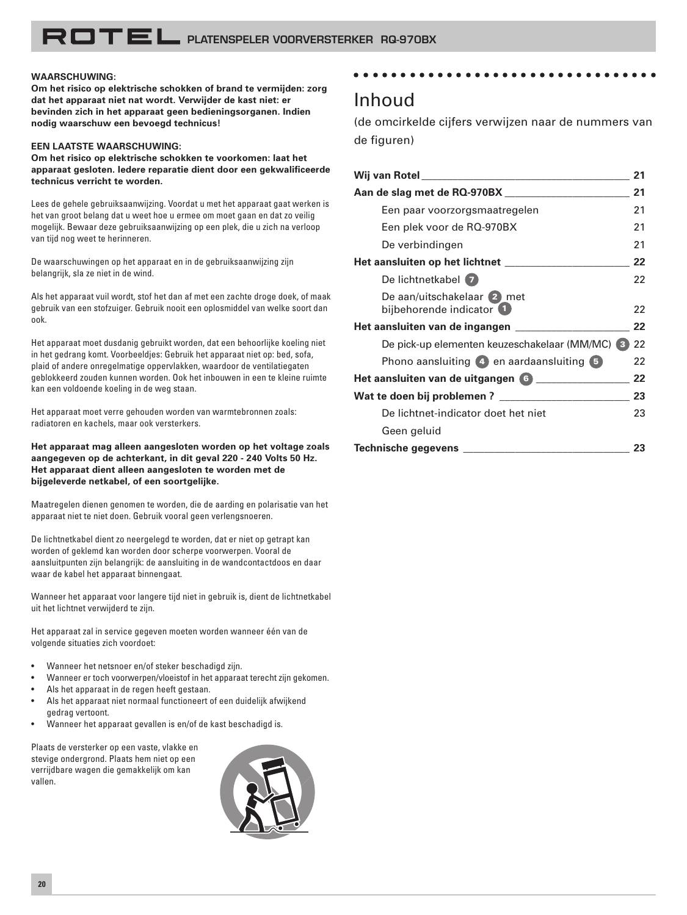#### **WAARSCHUWING:**

**Om het risico op elektrische schokken of brand te vermijden: zorg dat het apparaat niet nat wordt. Verwijder de kast niet: er bevinden zich in het apparaat geen bedieningsorganen. Indien nodig waarschuw een bevoegd technicus!**

#### **EEN LAATSTE WAARSCHUWING:**

**Om het risico op elektrische schokken te voorkomen: laat het apparaat gesloten. Iedere reparatie dient door een gekwalificeerde technicus verricht te worden.**

Lees de gehele gebruiksaanwijzing. Voordat u met het apparaat gaat werken is het van groot belang dat u weet hoe u ermee om moet gaan en dat zo veilig mogelijk. Bewaar deze gebruiksaanwijzing op een plek, die u zich na verloop van tijd nog weet te herinneren.

De waarschuwingen op het apparaat en in de gebruiksaanwijzing zijn belangrijk, sla ze niet in de wind.

Als het apparaat vuil wordt, stof het dan af met een zachte droge doek, of maak gebruik van een stofzuiger. Gebruik nooit een oplosmiddel van welke soort dan ook.

Het apparaat moet dusdanig gebruikt worden, dat een behoorlijke koeling niet in het gedrang komt. Voorbeeldjes: Gebruik het apparaat niet op: bed, sofa, plaid of andere onregelmatige oppervlakken, waardoor de ventilatiegaten geblokkeerd zouden kunnen worden. Ook het inbouwen in een te kleine ruimte kan een voldoende koeling in de weg staan.

Het apparaat moet verre gehouden worden van warmtebronnen zoals: radiatoren en kachels, maar ook versterkers.

**Het apparaat mag alleen aangesloten worden op het voltage zoals aangegeven op de achterkant, in dit geval 220 - 240 Volts 50 Hz. Het apparaat dient alleen aangesloten te worden met de bijgeleverde netkabel, of een soortgelijke.**

Maatregelen dienen genomen te worden, die de aarding en polarisatie van het apparaat niet te niet doen. Gebruik vooral geen verlengsnoeren.

De lichtnetkabel dient zo neergelegd te worden, dat er niet op getrapt kan worden of geklemd kan worden door scherpe voorwerpen. Vooral de aansluitpunten zijn belangrijk: de aansluiting in de wandcontactdoos en daar waar de kabel het apparaat binnengaat.

Wanneer het apparaat voor langere tijd niet in gebruik is, dient de lichtnetkabel uit het lichtnet verwijderd te zijn.

Het apparaat zal in service gegeven moeten worden wanneer één van de volgende situaties zich voordoet:

- Wanneer het netsnoer en/of steker beschadigd zijn.
- Wanneer er toch voorwerpen/vloeistof in het apparaat terecht zijn gekomen.
- Als het apparaat in de regen heeft gestaan.
- Als het apparaat niet normaal functioneert of een duidelijk afwijkend gedrag vertoont.
- Wanneer het apparaat gevallen is en/of de kast beschadigd is.

Plaats de versterker op een vaste, vlakke en stevige ondergrond. Plaats hem niet op een verrijdbare wagen die gemakkelijk om kan vallen.



#### aaaaaaaaaaaaaaaaaaaaaaaaaaaaaaaaa

### Inhoud

(de omcirkelde cijfers verwijzen naar de nummers van de figuren)

| Wij van Rotel <b>Australia (1999)</b> waa het volgens van die verskilder van die verskilder van die verskilder van die v | 21 |
|--------------------------------------------------------------------------------------------------------------------------|----|
| Aan de slag met de RQ-970BX                                                                                              | 21 |
| Een paar voorzorgsmaatregelen                                                                                            | 21 |
| Een plek voor de RQ-970BX                                                                                                | 21 |
| De verbindingen                                                                                                          | 21 |
|                                                                                                                          | 22 |
| De lichtnetkabel (7)                                                                                                     | 22 |
| De aan/uitschakelaar 2 met<br>bijbehorende indicator (1)                                                                 | 22 |
| Het aansluiten van de ingangen                                                                                           | 22 |
| De pick-up elementen keuzeschakelaar (MM/MC) 3                                                                           | 22 |
| Phono aansluiting (4) en aardaansluiting (5)                                                                             | 22 |
| Het aansluiten van de uitgangen 6                                                                                        | 22 |
| Wat te doen bij problemen ?                                                                                              | 23 |
| De lichtnet-indicator doet het niet                                                                                      | 23 |
| Geen geluid                                                                                                              |    |
| Technische gegevens                                                                                                      | 23 |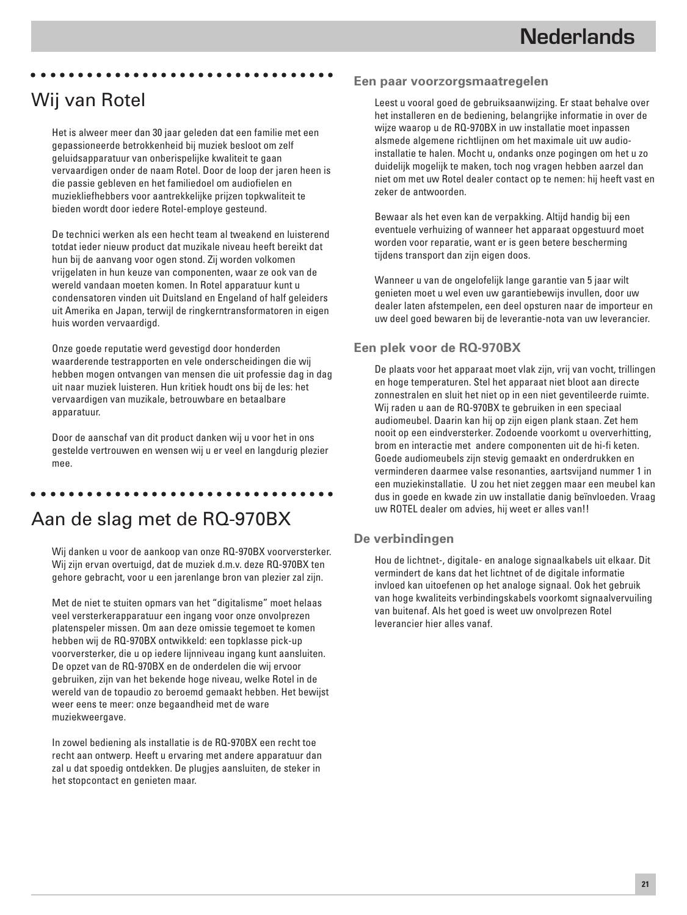# Wij van Rotel

Het is alweer meer dan 30 jaar geleden dat een familie met een gepassioneerde betrokkenheid bij muziek besloot om zelf geluidsapparatuur van onberispelijke kwaliteit te gaan vervaardigen onder de naam Rotel. Door de loop der jaren heen is die passie gebleven en het familiedoel om audiofielen en muziekliefhebbers voor aantrekkelijke prijzen topkwaliteit te bieden wordt door iedere Rotel-employe gesteund.

aaaaaaaaaaaaaaaaaaaaaaaaaaaaaaaaa

De technici werken als een hecht team al tweakend en luisterend totdat ieder nieuw product dat muzikale niveau heeft bereikt dat hun bij de aanvang voor ogen stond. Zij worden volkomen vrijgelaten in hun keuze van componenten, waar ze ook van de wereld vandaan moeten komen. In Rotel apparatuur kunt u condensatoren vinden uit Duitsland en Engeland of half geleiders uit Amerika en Japan, terwijl de ringkerntransformatoren in eigen huis worden vervaardigd.

Onze goede reputatie werd gevestigd door honderden waarderende testrapporten en vele onderscheidingen die wij hebben mogen ontvangen van mensen die uit professie dag in dag uit naar muziek luisteren. Hun kritiek houdt ons bij de les: het vervaardigen van muzikale, betrouwbare en betaalbare apparatuur.

Door de aanschaf van dit product danken wij u voor het in ons gestelde vertrouwen en wensen wij u er veel en langdurig plezier mee.

### aaaaaaaaaaaaaaaaaaaaaaaaaaaaaaaaa

### Aan de slag met de RQ-970BX

Wij danken u voor de aankoop van onze RQ-970BX voorversterker. Wij zijn ervan overtuigd, dat de muziek d.m.v. deze RQ-970BX ten gehore gebracht, voor u een jarenlange bron van plezier zal zijn.

Met de niet te stuiten opmars van het "digitalisme" moet helaas veel versterkerapparatuur een ingang voor onze onvolprezen platenspeler missen. Om aan deze omissie tegemoet te komen hebben wij de RQ-970BX ontwikkeld: een topklasse pick-up voorversterker, die u op iedere lijnniveau ingang kunt aansluiten. De opzet van de RQ-970BX en de onderdelen die wij ervoor gebruiken, zijn van het bekende hoge niveau, welke Rotel in de wereld van de topaudio zo beroemd gemaakt hebben. Het bewijst weer eens te meer: onze begaandheid met de ware muziekweergave.

In zowel bediening als installatie is de RQ-970BX een recht toe recht aan ontwerp. Heeft u ervaring met andere apparatuur dan zal u dat spoedig ontdekken. De plugjes aansluiten, de steker in het stopcontact en genieten maar.

#### **Een paar voorzorgsmaatregelen**

Leest u vooral goed de gebruiksaanwijzing. Er staat behalve over het installeren en de bediening, belangrijke informatie in over de wijze waarop u de RQ-970BX in uw installatie moet inpassen alsmede algemene richtlijnen om het maximale uit uw audioinstallatie te halen. Mocht u, ondanks onze pogingen om het u zo duidelijk mogelijk te maken, toch nog vragen hebben aarzel dan niet om met uw Rotel dealer contact op te nemen: hij heeft vast en zeker de antwoorden.

Bewaar als het even kan de verpakking. Altijd handig bij een eventuele verhuizing of wanneer het apparaat opgestuurd moet worden voor reparatie, want er is geen betere bescherming tijdens transport dan zijn eigen doos.

Wanneer u van de ongelofelijk lange garantie van 5 jaar wilt genieten moet u wel even uw garantiebewijs invullen, door uw dealer laten afstempelen, een deel opsturen naar de importeur en uw deel goed bewaren bij de leverantie-nota van uw leverancier.

#### **Een plek voor de RQ-970BX**

De plaats voor het apparaat moet vlak zijn, vrij van vocht, trillingen en hoge temperaturen. Stel het apparaat niet bloot aan directe zonnestralen en sluit het niet op in een niet geventileerde ruimte. Wij raden u aan de RQ-970BX te gebruiken in een speciaal audiomeubel. Daarin kan hij op zijn eigen plank staan. Zet hem nooit op een eindversterker. Zodoende voorkomt u oververhitting, brom en interactie met andere componenten uit de hi-fi keten. Goede audiomeubels zijn stevig gemaakt en onderdrukken en verminderen daarmee valse resonanties, aartsvijand nummer 1 in een muziekinstallatie. U zou het niet zeggen maar een meubel kan dus in goede en kwade zin uw installatie danig beïnvloeden. Vraag uw ROTEL dealer om advies, hij weet er alles van!!

#### **De verbindingen**

Hou de lichtnet-, digitale- en analoge signaalkabels uit elkaar. Dit vermindert de kans dat het lichtnet of de digitale informatie invloed kan uitoefenen op het analoge signaal. Ook het gebruik van hoge kwaliteits verbindingskabels voorkomt signaalvervuiling van buitenaf. Als het goed is weet uw onvolprezen Rotel leverancier hier alles vanaf.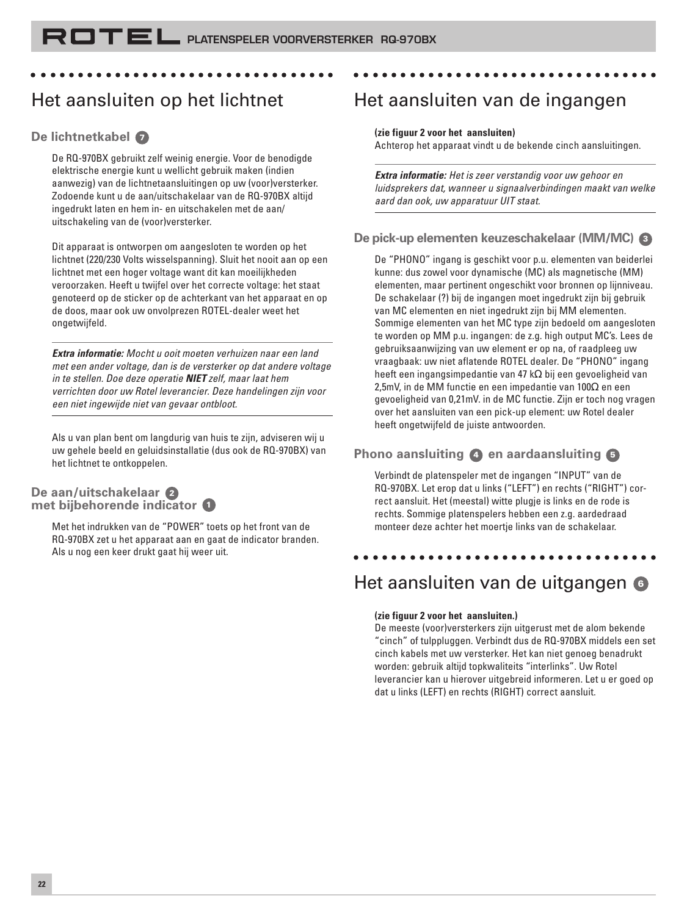# Het aansluiten op het lichtnet

#### **De lichtnetkabel <sup>7</sup>**

De RQ-970BX gebruikt zelf weinig energie. Voor de benodigde elektrische energie kunt u wellicht gebruik maken (indien aanwezig) van de lichtnetaansluitingen op uw (voor)versterker. Zodoende kunt u de aan/uitschakelaar van de RQ-970BX altijd ingedrukt laten en hem in- en uitschakelen met de aan/ uitschakeling van de (voor)versterker.

aaaaaaaaaaaaaaaaaaaaaaaaaaaaaaaaa

Dit apparaat is ontworpen om aangesloten te worden op het lichtnet (220/230 Volts wisselspanning). Sluit het nooit aan op een lichtnet met een hoger voltage want dit kan moeilijkheden veroorzaken. Heeft u twijfel over het correcte voltage: het staat genoteerd op de sticker op de achterkant van het apparaat en op de doos, maar ook uw onvolprezen ROTEL-dealer weet het ongetwijfeld.

**Extra informatie:** Mocht u ooit moeten verhuizen naar een land met een ander voltage, dan is de versterker op dat andere voltage in te stellen. Doe deze operatie **NIET** zelf, maar laat hem verrichten door uw Rotel leverancier. Deze handelingen zijn voor een niet ingewijde niet van gevaar ontbloot.

Als u van plan bent om langdurig van huis te zijn, adviseren wij u uw gehele beeld en geluidsinstallatie (dus ook de RQ-970BX) van het lichtnet te ontkoppelen.

#### **De aan/uitschakelaar <sup>2</sup> met bijbehorende indicator <sup>1</sup>**

Met het indrukken van de "POWER" toets op het front van de RQ-970BX zet u het apparaat aan en gaat de indicator branden. Als u nog een keer drukt gaat hij weer uit.

### Het aansluiten van de ingangen

#### **(zie figuur 2 voor het aansluiten)**

Achterop het apparaat vindt u de bekende cinch aansluitingen.

aaaaaaaaaaaaaaaaaaaaaaaaaaaaaaaaa

**Extra informatie:** Het is zeer verstandig voor uw gehoor en luidsprekers dat, wanneer u signaalverbindingen maakt van welke aard dan ook, uw apparatuur UIT staat.

#### **De pick-up elementen keuzeschakelaar (MM/MC) <sup>3</sup>**

De "PHONO" ingang is geschikt voor p.u. elementen van beiderlei kunne: dus zowel voor dynamische (MC) als magnetische (MM) elementen, maar pertinent ongeschikt voor bronnen op lijnniveau. De schakelaar (?) bij de ingangen moet ingedrukt zijn bij gebruik van MC elementen en niet ingedrukt zijn bij MM elementen. Sommige elementen van het MC type zijn bedoeld om aangesloten te worden op MM p.u. ingangen: de z.g. high output MC's. Lees de gebruiksaanwijzing van uw element er op na, of raadpleeg uw vraagbaak: uw niet aflatende ROTEL dealer. De "PHONO" ingang heeft een ingangsimpedantie van 47 kΩ bij een gevoeligheid van 2,5mV, in de MM functie en een impedantie van 100Ω en een gevoeligheid van 0,21mV. in de MC functie. Zijn er toch nog vragen over het aansluiten van een pick-up element: uw Rotel dealer heeft ongetwijfeld de juiste antwoorden.

### **Phono aansluiting 4 en aardaansluiting <sup>5</sup>**

Verbindt de platenspeler met de ingangen "INPUT" van de RQ-970BX. Let erop dat u links ("LEFT") en rechts ("RIGHT") correct aansluit. Het (meestal) witte plugje is links en de rode is rechts. Sommige platenspelers hebben een z.g. aardedraad monteer deze achter het moertje links van de schakelaar.

### aaaaaaaaaaaaaaaaaaaaaaaaaaaaaaaaa Het aansluiten van de uitgangen **<sup>6</sup>**

#### **(zie figuur 2 voor het aansluiten.)**

De meeste (voor)versterkers zijn uitgerust met de alom bekende "cinch" of tulppluggen. Verbindt dus de RQ-970BX middels een set cinch kabels met uw versterker. Het kan niet genoeg benadrukt worden: gebruik altijd topkwaliteits "interlinks". Uw Rotel leverancier kan u hierover uitgebreid informeren. Let u er goed op dat u links (LEFT) en rechts (RIGHT) correct aansluit.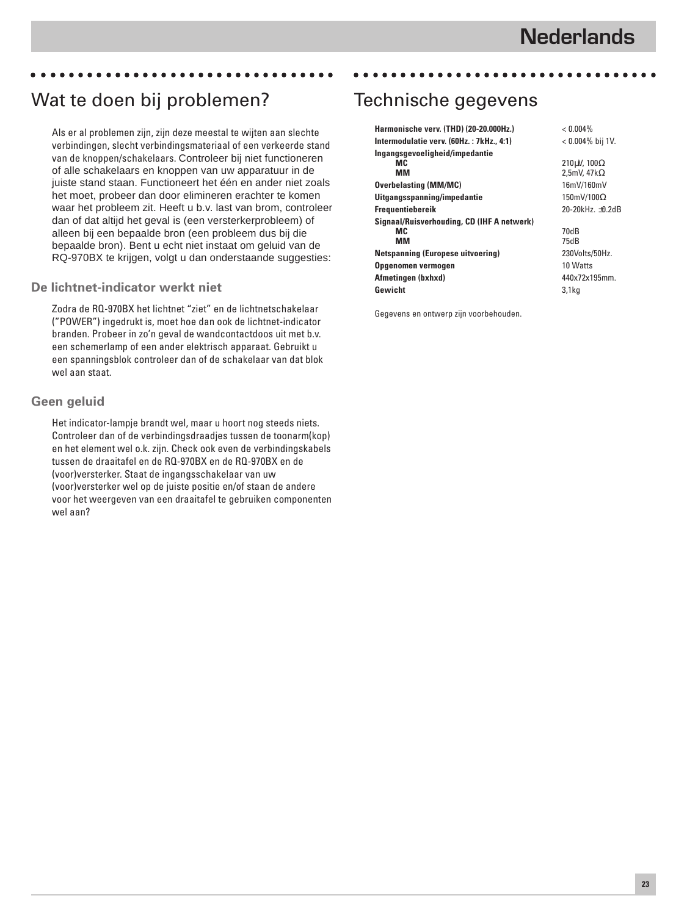### Wat te doen bij problemen?

Als er al problemen zijn, zijn deze meestal te wijten aan slechte verbindingen, slecht verbindingsmateriaal of een verkeerde stand van de knoppen/schakelaars. Controleer bij niet functioneren of alle schakelaars en knoppen van uw apparatuur in de juiste stand staan. Functioneert het één en ander niet zoals het moet, probeer dan door elimineren erachter te komen waar het probleem zit. Heeft u b.v. last van brom, controleer dan of dat altijd het geval is (een versterkerprobleem) of alleen bij een bepaalde bron (een probleem dus bij die bepaalde bron). Bent u echt niet instaat om geluid van de RQ-970BX te krijgen, volgt u dan onderstaande suggesties:

aaaaaaaaaaaaaaaaaaaaaaaaaaaaaaaaa

#### **De lichtnet-indicator werkt niet**

Zodra de RQ-970BX het lichtnet "ziet" en de lichtnetschakelaar ("POWER") ingedrukt is, moet hoe dan ook de lichtnet-indicator branden. Probeer in zo'n geval de wandcontactdoos uit met b.v. een schemerlamp of een ander elektrisch apparaat. Gebruikt u een spanningsblok controleer dan of de schakelaar van dat blok wel aan staat.

#### **Geen geluid**

Het indicator-lampje brandt wel, maar u hoort nog steeds niets. Controleer dan of de verbindingsdraadjes tussen de toonarm(kop) en het element wel o.k. zijn. Check ook even de verbindingskabels tussen de draaitafel en de RQ-970BX en de RQ-970BX en de (voor)versterker. Staat de ingangsschakelaar van uw (voor)versterker wel op de juiste positie en/of staan de andere voor het weergeven van een draaitafel te gebruiken componenten wel aan?

### Technische gegevens

| Harmonische verv. (THD) (20-20.000Hz.)     | $< 0.004\%$               |
|--------------------------------------------|---------------------------|
| Intermodulatie verv. (60Hz.: 7kHz., 4:1)   | < 0.004% bij 1V.          |
| Ingangsgevoeligheid/impedantie             |                           |
| мc                                         | 210μV, 100Ω               |
| MМ                                         | 2,5mV, $47k\Omega$        |
| <b>Overbelasting (MM/MC)</b>               | 16mV/160mV                |
| Uitgangsspanning/impedantie                | $150mV/100\Omega$         |
| <b>Frequentiebereik</b>                    | 20-20 $k$ Hz. $\pm$ 0.2dB |
| Signaal/Ruisverhouding, CD (IHF A netwerk) |                           |
| MC.                                        | 70dB                      |
| MМ                                         | 75dB                      |
| <b>Netspanning (Europese uitvoering)</b>   | 230Volts/50Hz.            |
| Opgenomen vermogen                         | 10 Watts                  |
| Afmetingen (bxhxd)                         | 440x72x195mm.             |
| Gewicht                                    | 3.1 <sub>kq</sub>         |

aaaaaaaaaaaaaaaaaaaaaaaaaaaaaaaaa

Gegevens en ontwerp zijn voorbehouden.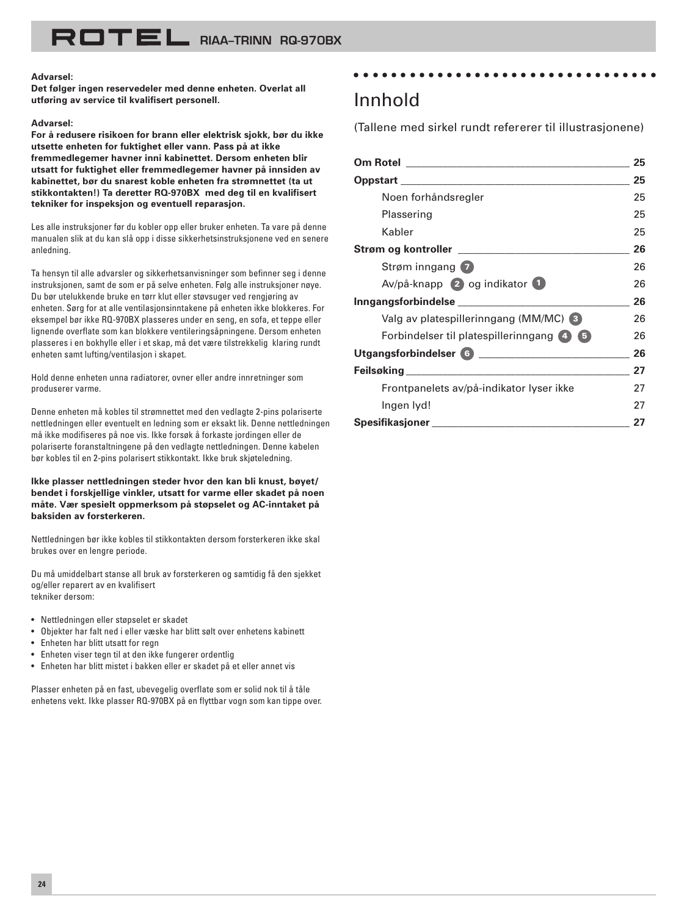#### **Advarsel:**

**Det følger ingen reservedeler med denne enheten. Overlat all utføring av service til kvalifisert personell.**

#### **Advarsel:**

**For å redusere risikoen for brann eller elektrisk sjokk, bør du ikke utsette enheten for fuktighet eller vann. Pass på at ikke fremmedlegemer havner inni kabinettet. Dersom enheten blir utsatt for fuktighet eller fremmedlegemer havner på innsiden av kabinettet, bør du snarest koble enheten fra strømnettet (ta ut stikkontakten!) Ta deretter RQ-970BX med deg til en kvalifisert tekniker for inspeksjon og eventuell reparasjon.**

Les alle instruksjoner før du kobler opp eller bruker enheten. Ta vare på denne manualen slik at du kan slå opp i disse sikkerhetsinstruksjonene ved en senere anledning.

Ta hensyn til alle advarsler og sikkerhetsanvisninger som befinner seg i denne instruksjonen, samt de som er på selve enheten. Følg alle instruksjoner nøye. Du bør utelukkende bruke en tørr klut eller støvsuger ved rengjøring av enheten. Sørg for at alle ventilasjonsinntakene på enheten ikke blokkeres. For eksempel bør ikke RQ-970BX plasseres under en seng, en sofa, et teppe eller lignende overflate som kan blokkere ventileringsåpningene. Dersom enheten plasseres i en bokhylle eller i et skap, må det være tilstrekkelig klaring rundt enheten samt lufting/ventilasjon i skapet.

Hold denne enheten unna radiatorer, ovner eller andre innretninger som produserer varme.

Denne enheten må kobles til strømnettet med den vedlagte 2-pins polariserte nettledningen eller eventuelt en ledning som er eksakt lik. Denne nettledningen må ikke modifiseres på noe vis. Ikke forsøk å forkaste jordingen eller de polariserte foranstaltningene på den vedlagte nettledningen. Denne kabelen bør kobles til en 2-pins polarisert stikkontakt. Ikke bruk skjøteledning.

**Ikke plasser nettledningen steder hvor den kan bli knust, bøyet/ bendet i forskjellige vinkler, utsatt for varme eller skadet på noen måte. Vær spesielt oppmerksom på støpselet og AC-inntaket på baksiden av forsterkeren.**

Nettledningen bør ikke kobles til stikkontakten dersom forsterkeren ikke skal brukes over en lengre periode.

Du må umiddelbart stanse all bruk av forsterkeren og samtidig få den sjekket og/eller reparert av en kvalifisert tekniker dersom:

- Nettledningen eller støpselet er skadet
- Objekter har falt ned i eller væske har blitt sølt over enhetens kabinett
- Enheten har blitt utsatt for regn
- Enheten viser tegn til at den ikke fungerer ordentlig
- Enheten har blitt mistet i bakken eller er skadet på et eller annet vis

Plasser enheten på en fast, ubevegelig overflate som er solid nok til å tåle enhetens vekt. Ikke plasser RQ-970BX på en flyttbar vogn som kan tippe over.

### Innhold

(Tallene med sirkel rundt refererer til illustrasjonene)

aaaaaaaaaaaaaaaaaaaaaaaaaaaaaaaaa

|                                               | 25 |
|-----------------------------------------------|----|
|                                               | 25 |
| Noen forhåndsregler                           | 25 |
| Plassering                                    | 25 |
| Kabler                                        | 25 |
|                                               | 26 |
| Strøm inngang 7                               | 26 |
| Av/på-knapp 2 og indikator 1                  | 26 |
| Inngangsforbindelse _________________________ | 26 |
| Valg av platespillerinngang (MM/MC) 3         | 26 |
| Forbindelser til platespillerinngang 4 5      | 26 |
|                                               | 26 |
|                                               | 27 |
| Frontpanelets av/på-indikator lyser ikke      | 27 |
| Ingen Iyd!                                    | 27 |
| Spesifikasjoner                               | 27 |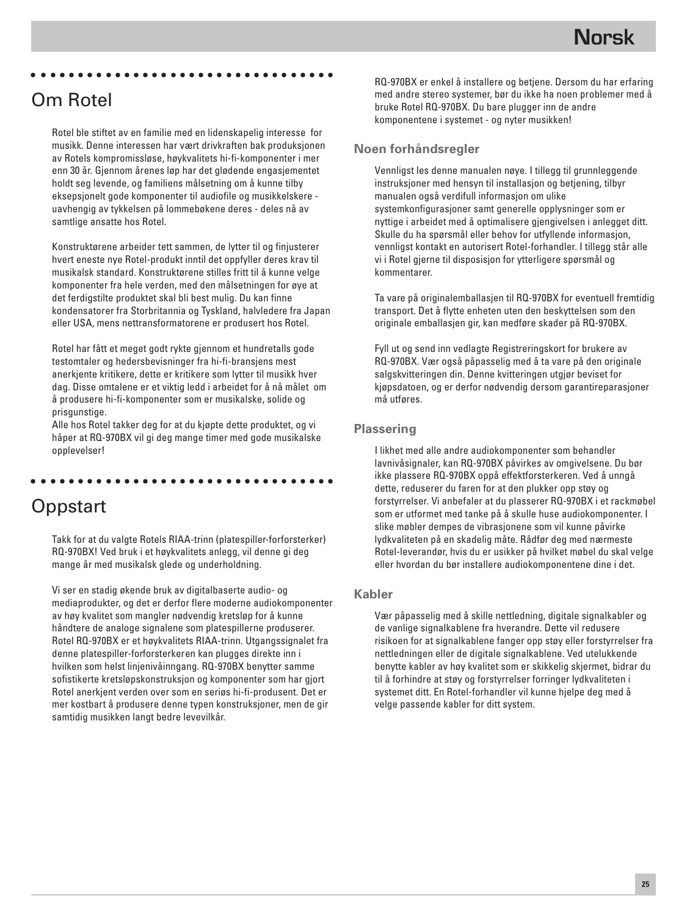#### aaaaaaaaaaaaaaaaaaaaaaaaaaaaaaaaa

### Om Rotel

Rotel ble stiftet av en familie med en lidenskapelig interesse for musikk. Denne interessen har vært drivkraften bak produksjonen av Rotels kompromissløse, høykvalitets hi-fi-komponenter i mer enn 30 år. Gjennom årenes løp har det glødende engasjementet holdt seg levende, og familiens målsetning om å kunne tilby eksepsjonelt gode komponenter til audiofile og musikkelskere uavhengig av tykkelsen på lommebøkene deres - deles nå av samtlige ansatte hos Rotel.

Konstruktørene arbeider tett sammen, de lytter til og finjusterer hvert eneste nye Rotel-produkt inntil det oppfyller deres krav til musikalsk standard. Konstruktørene stilles fritt til å kunne velge komponenter fra hele verden, med den målsetningen for øye at det ferdigstilte produktet skal bli best mulig. Du kan finne kondensatorer fra Storbritannia og Tyskland, halvledere fra Japan eller USA, mens nettransformatorene er produsert hos Rotel.

Rotel har fått et meget godt rykte gjennom et hundretalls gode testomtaler og hedersbevisninger fra hi-fi-bransjens mest anerkjente kritikere, dette er kritikere som lytter til musikk hver dag. Disse omtalene er et viktig ledd i arbeidet for å nå målet om å produsere hi-fi-komponenter som er musikalske, solide og prisgunstige.

Alle hos Rotel takker deg for at du kjøpte dette produktet, og vi håper at RQ-970BX vil gi deg mange timer med gode musikalske opplevelser!

aaaaaaaaaaaaaaaaaaaaaaaaaaaaaaaaa

# **Oppstart**

Takk for at du valgte Rotels RIAA-trinn (platespiller-forforsterker) RQ-970BX! Ved bruk i et høykvalitets anlegg, vil denne gi deg mange år med musikalsk glede og underholdning.

Vi ser en stadig økende bruk av digitalbaserte audio- og mediaprodukter, og det er derfor flere moderne audiokomponenter av høy kvalitet som mangler nødvendig kretsløp for å kunne håndtere de analoge signalene som platespillerne produserer. Rotel RQ-970BX er et høykvalitets RIAA-trinn. Utgangssignalet fra denne platespiller-forforsterkeren kan plugges direkte inn i hvilken som helst linjenivåinngang. RQ-970BX benytter samme sofistikerte kretsløpskonstruksjon og komponenter som har gjort Rotel anerkjent verden over som en seriøs hi-fi-produsent. Det er mer kostbart å produsere denne typen konstruksjoner, men de gir samtidig musikken langt bedre levevilkår.

RQ-970BX er enkel å installere og betjene. Dersom du har erfaring med andre stereo systemer, bør du ikke ha noen problemer med å bruke Rotel RQ-970BX. Du bare plugger inn de andre komponentene i systemet - og nyter musikken!

#### **Noen forhåndsregler**

Vennligst les denne manualen nøye. I tillegg til grunnleggende instruksjoner med hensyn til installasjon og betjening, tilbyr manualen også verdifull informasjon om ulike systemkonfigurasjoner samt generelle opplysninger som er nyttige i arbeidet med å optimalisere gjengivelsen i anlegget ditt. Skulle du ha spørsmål eller behov for utfyllende informasjon, vennligst kontakt en autorisert Rotel-forhandler. I tillegg står alle vi i Rotel gjerne til disposisjon for ytterligere spørsmål og kommentarer.

Ta vare på originalemballasjen til RQ-970BX for eventuell fremtidig transport. Det å flytte enheten uten den beskyttelsen som den originale emballasjen gir, kan medføre skader på RQ-970BX.

Fyll ut og send inn vedlagte Registreringskort for brukere av RQ-970BX. Vær også påpasselig med å ta vare på den originale salgskvitteringen din. Denne kvitteringen utgjør beviset for kjøpsdatoen, og er derfor nødvendig dersom garantireparasjoner må utføres.

#### **Plassering**

I likhet med alle andre audiokomponenter som behandler lavnivåsignaler, kan RQ-970BX påvirkes av omgivelsene. Du bør ikke plassere RQ-970BX oppå effektforsterkeren. Ved å unngå dette, reduserer du faren for at den plukker opp støy og forstyrrelser. Vi anbefaler at du plasserer RQ-970BX i et rackmøbel som er utformet med tanke på å skulle huse audiokomponenter. I slike møbler dempes de vibrasjonene som vil kunne påvirke lydkvaliteten på en skadelig måte. Rådfør deg med nærmeste Rotel-leverandør, hvis du er usikker på hvilket møbel du skal velge eller hvordan du bør installere audiokomponentene dine i det.

#### **Kabler**

Vær påpasselig med å skille nettledning, digitale signalkabler og de vanlige signalkablene fra hverandre. Dette vil redusere risikoen for at signalkablene fanger opp støy eller forstyrrelser fra nettledningen eller de digitale signalkablene. Ved utelukkende benytte kabler av høy kvalitet som er skikkelig skjermet, bidrar du til å forhindre at støy og forstyrrelser forringer lydkvaliteten i systemet ditt. En Rotel-forhandler vil kunne hjelpe deg med å velge passende kabler for ditt system.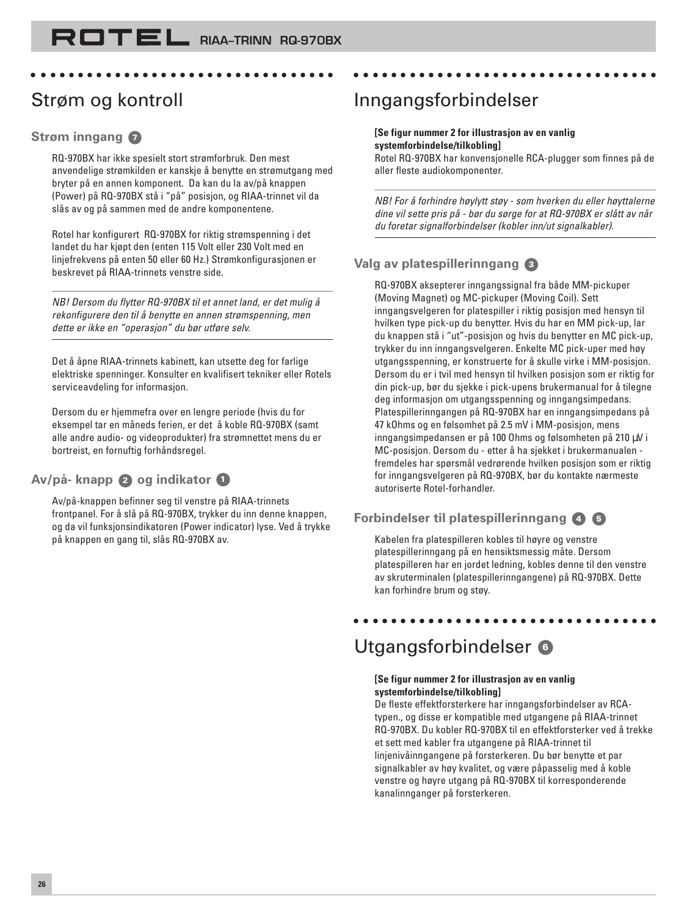aaaaaaaaaaaaaaaaaaaaaaaaaaaaaaaaa

# Strøm og kontroll

#### **Strøm inngang <sup>7</sup>**

RQ-970BX har ikke spesielt stort strømforbruk. Den mest anvendelige strømkilden er kanskje å benytte en strømutgang med bryter på en annen komponent. Da kan du la av/på knappen (Power) på RQ-970BX stå i "på" posisjon, og RIAA-trinnet vil da slås av og på sammen med de andre komponentene.

Rotel har konfigurert RQ-970BX for riktig strømspenning i det landet du har kjøpt den (enten 115 Volt eller 230 Volt med en linjefrekvens på enten 50 eller 60 Hz.) Strømkonfigurasjonen er beskrevet på RIAA-trinnets venstre side.

NB! Dersom du flytter RQ-970BX til et annet land, er det mulig å rekonfigurere den til å benytte en annen strømspenning, men dette er ikke en "operasjon" du bør utføre selv.

Det å åpne RIAA-trinnets kabinett, kan utsette deg for farlige elektriske spenninger. Konsulter en kvalifisert tekniker eller Rotels serviceavdeling for informasjon.

Dersom du er hjemmefra over en lengre periode (hvis du for eksempel tar en måneds ferien, er det å koble RQ-970BX (samt alle andre audio- og videoprodukter) fra strømnettet mens du er bortreist, en fornuftig forhåndsregel.

### **Av/på- knapp 2 og indikator <sup>1</sup>**

Av/på-knappen befinner seg til venstre på RIAA-trinnets frontpanel. For å slå på RQ-970BX, trykker du inn denne knappen, og da vil funksjonsindikatoren (Power indicator) lyse. Ved å trykke på knappen en gang til, slås RQ-970BX av.

### Inngangsforbindelser

### **[Se figur nummer 2 for illustrasjon av en vanlig systemforbindelse/tilkobling]**

Rotel RQ-970BX har konvensjonelle RCA-plugger som finnes på de aller fleste audiokomponenter.

aaaaaaaaaaaaaaaaaaaaaaaaaaaaaaaaa

NB! For å forhindre høylytt støy - som hverken du eller høyttalerne dine vil sette pris på - bør du sørge for at RQ-970BX er slått av når du foretar signalforbindelser (kobler inn/ut signalkabler).

### **Valg av platespillerinngang <sup>3</sup>**

RQ-970BX aksepterer inngangssignal fra både MM-pickuper (Moving Magnet) og MC-pickuper (Moving Coil). Sett inngangsvelgeren for platespiller i riktig posisjon med hensyn til hvilken type pick-up du benytter. Hvis du har en MM pick-up, lar du knappen stå i "ut"-posisjon og hvis du benytter en MC pick-up, trykker du inn inngangsvelgeren. Enkelte MC pick-uper med høy utgangsspenning, er konstruerte for å skulle virke i MM-posisjon. Dersom du er i tvil med hensyn til hvilken posisjon som er riktig for din pick-up, bør du sjekke i pick-upens brukermanual for å tilegne deg informasjon om utgangsspenning og inngangsimpedans. Platespillerinngangen på RQ-970BX har en inngangsimpedans på 47 kOhms og en følsomhet på 2.5 mV i MM-posisjon, mens inngangsimpedansen er på 100 Ohms og følsomheten på 210 µV i MC-posisjon. Dersom du - etter å ha sjekket i brukermanualen fremdeles har spørsmål vedrørende hvilken posisjon som er riktig for inngangsvelgeren på RQ-970BX, bør du kontakte nærmeste autoriserte Rotel-forhandler.

### **Forbindelser til platespillerinngang <sup>4</sup> <sup>5</sup>**

Kabelen fra platespilleren kobles til høyre og venstre platespillerinngang på en hensiktsmessig måte. Dersom platespilleren har en jordet ledning, kobles denne til den venstre av skruterminalen (platespillerinngangene) på RQ-970BX. Dette kan forhindre brum og støy.

aaaaaaaaaaaaaaaaaaaaaaaaaaaaaaaaa

# Utgangsforbindelser **<sup>6</sup>**

#### **[Se figur nummer 2 for illustrasjon av en vanlig systemforbindelse/tilkobling]**

De fleste effektforsterkere har inngangsforbindelser av RCAtypen., og disse er kompatible med utgangene på RIAA-trinnet RQ-970BX. Du kobler RQ-970BX til en effektforsterker ved å trekke et sett med kabler fra utgangene på RIAA-trinnet til linjenivåinngangene på forsterkeren. Du bør benytte et par signalkabler av høy kvalitet, og være påpasselig med å koble venstre og høyre utgang på RQ-970BX til korresponderende kanalinnganger på forsterkeren.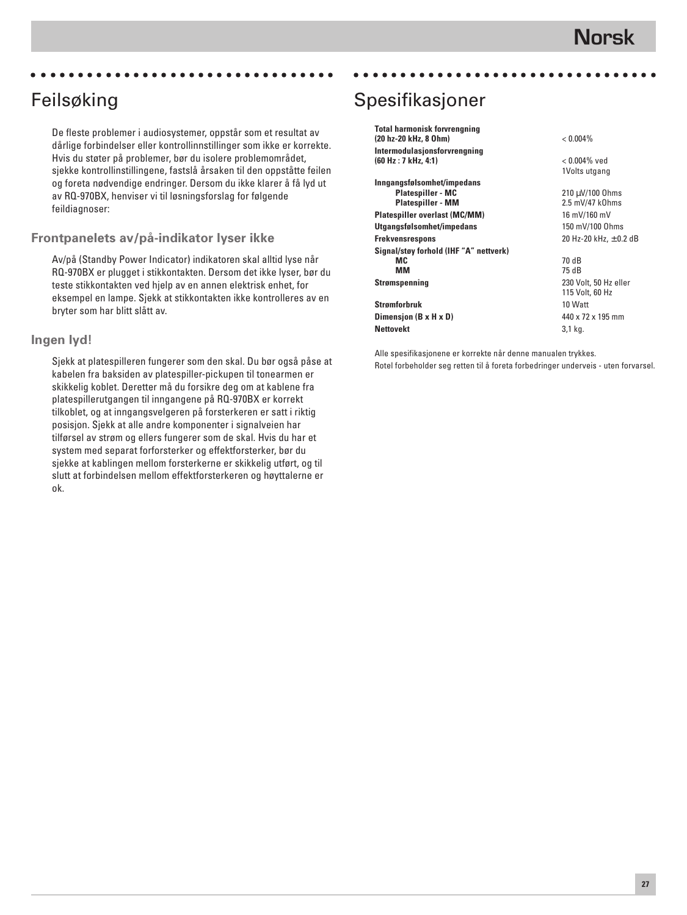### Feilsøking

De fleste problemer i audiosystemer, oppstår som et resultat av dårlige forbindelser eller kontrollinnstillinger som ikke er korrekte. Hvis du støter på problemer, bør du isolere problemområdet, sjekke kontrollinstillingene, fastslå årsaken til den oppståtte feilen og foreta nødvendige endringer. Dersom du ikke klarer å få lyd ut av RQ-970BX, henviser vi til løsningsforslag for følgende feildiagnoser:

aaaaaaaaaaaaaaaaaaaaaaaaaaaaaaaaa

#### **Frontpanelets av/på-indikator lyser ikke**

Av/på (Standby Power Indicator) indikatoren skal alltid lyse når RQ-970BX er plugget i stikkontakten. Dersom det ikke lyser, bør du teste stikkontakten ved hjelp av en annen elektrisk enhet, for eksempel en lampe. Sjekk at stikkontakten ikke kontrolleres av en bryter som har blitt slått av.

#### **Ingen lyd!**

Sjekk at platespilleren fungerer som den skal. Du bør også påse at kabelen fra baksiden av platespiller-pickupen til tonearmen er skikkelig koblet. Deretter må du forsikre deg om at kablene fra platespillerutgangen til inngangene på RQ-970BX er korrekt tilkoblet, og at inngangsvelgeren på forsterkeren er satt i riktig posisjon. Sjekk at alle andre komponenter i signalveien har tilførsel av strøm og ellers fungerer som de skal. Hvis du har et system med separat forforsterker og effektforsterker, bør du sjekke at kablingen mellom forsterkerne er skikkelig utført, og til slutt at forbindelsen mellom effektforsterkeren og høyttalerne er ok.

# Spesifikasjoner

| <b>Total harmonisk forvrengning</b><br>(20 hz-20 kHz, 8 Ohm)                       | $< 0.004\%$                                         |
|------------------------------------------------------------------------------------|-----------------------------------------------------|
| Intermodulasjonsforvrengning<br>(60 Hz : 7 kHz, 4:1)                               | $< 0.004\%$ ved                                     |
| Inngangsfølsomhet/impedans<br><b>Platespiller - MC</b><br><b>Platespiller - MM</b> | 1Volts utgang<br>210 µV/100 0hms<br>2.5 mV/47 k0hms |
| Platespiller overlast (MC/MM)                                                      | 16 mV/160 mV                                        |
| Utgangsfølsomhet/impedans                                                          | 150 mV/100 Ohms                                     |
| Frekvensrespons                                                                    | 20 Hz-20 kHz, $\pm$ 0.2 dB                          |
| Signal/støy forhold (IHF "A" nettverk)<br>MC.<br>ΜМ                                | 70 dB<br>75 dB                                      |
| Strømspenning                                                                      | 230 Volt, 50 Hz eller<br>115 Volt, 60 Hz            |
| Strømforbruk                                                                       | 10 Watt                                             |
| Dimension (B x H x D)                                                              | 440 x 72 x 195 mm                                   |
| <b>Nettovekt</b>                                                                   | 3,1 kg.                                             |

aaaaaaaaaaaaaaaaaaaaaaaaaaaaaaaaa

Alle spesifikasjonene er korrekte når denne manualen trykkes. Rotel forbeholder seg retten til å foreta forbedringer underveis - uten forvarsel.